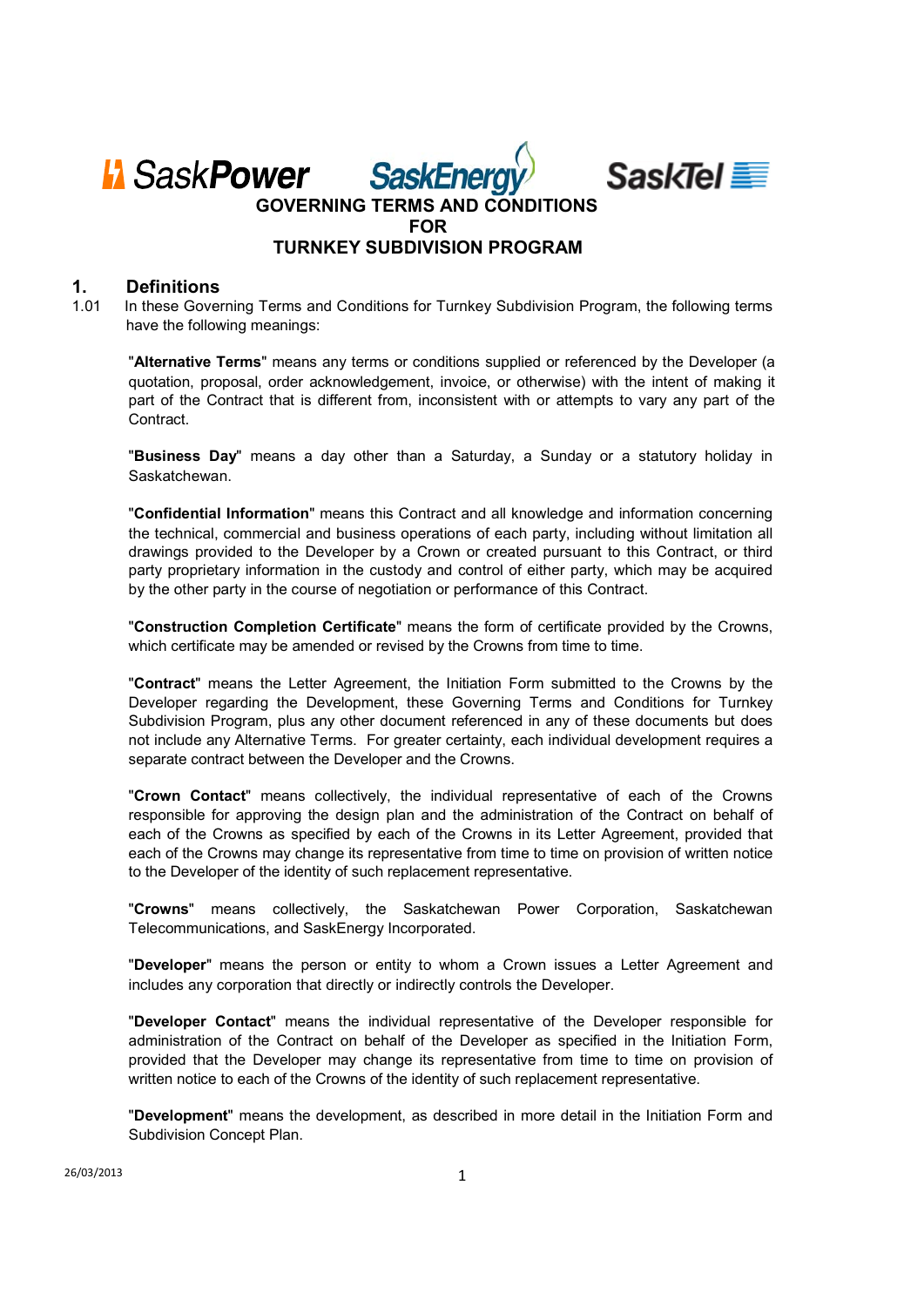

## **1. Definitions**

1.01 In these Governing Terms and Conditions for Turnkey Subdivision Program, the following terms have the following meanings:

"**Alternative Terms**" means any terms or conditions supplied or referenced by the Developer (a quotation, proposal, order acknowledgement, invoice, or otherwise) with the intent of making it part of the Contract that is different from, inconsistent with or attempts to vary any part of the **Contract** 

"**Business Day**" means a day other than a Saturday, a Sunday or a statutory holiday in Saskatchewan.

"**Confidential Information**" means this Contract and all knowledge and information concerning the technical, commercial and business operations of each party, including without limitation all drawings provided to the Developer by a Crown or created pursuant to this Contract, or third party proprietary information in the custody and control of either party, which may be acquired by the other party in the course of negotiation or performance of this Contract.

"**Construction Completion Certificate**" means the form of certificate provided by the Crowns, which certificate may be amended or revised by the Crowns from time to time.

"**Contract**" means the Letter Agreement, the Initiation Form submitted to the Crowns by the Developer regarding the Development, these Governing Terms and Conditions for Turnkey Subdivision Program, plus any other document referenced in any of these documents but does not include any Alternative Terms. For greater certainty, each individual development requires a separate contract between the Developer and the Crowns.

"**Crown Contact**" means collectively, the individual representative of each of the Crowns responsible for approving the design plan and the administration of the Contract on behalf of each of the Crowns as specified by each of the Crowns in its Letter Agreement, provided that each of the Crowns may change its representative from time to time on provision of written notice to the Developer of the identity of such replacement representative.

"**Crowns**" means collectively, the Saskatchewan Power Corporation, Saskatchewan Telecommunications, and SaskEnergy Incorporated.

"**Developer**" means the person or entity to whom a Crown issues a Letter Agreement and includes any corporation that directly or indirectly controls the Developer.

"**Developer Contact**" means the individual representative of the Developer responsible for administration of the Contract on behalf of the Developer as specified in the Initiation Form, provided that the Developer may change its representative from time to time on provision of written notice to each of the Crowns of the identity of such replacement representative.

"**Development**" means the development, as described in more detail in the Initiation Form and Subdivision Concept Plan.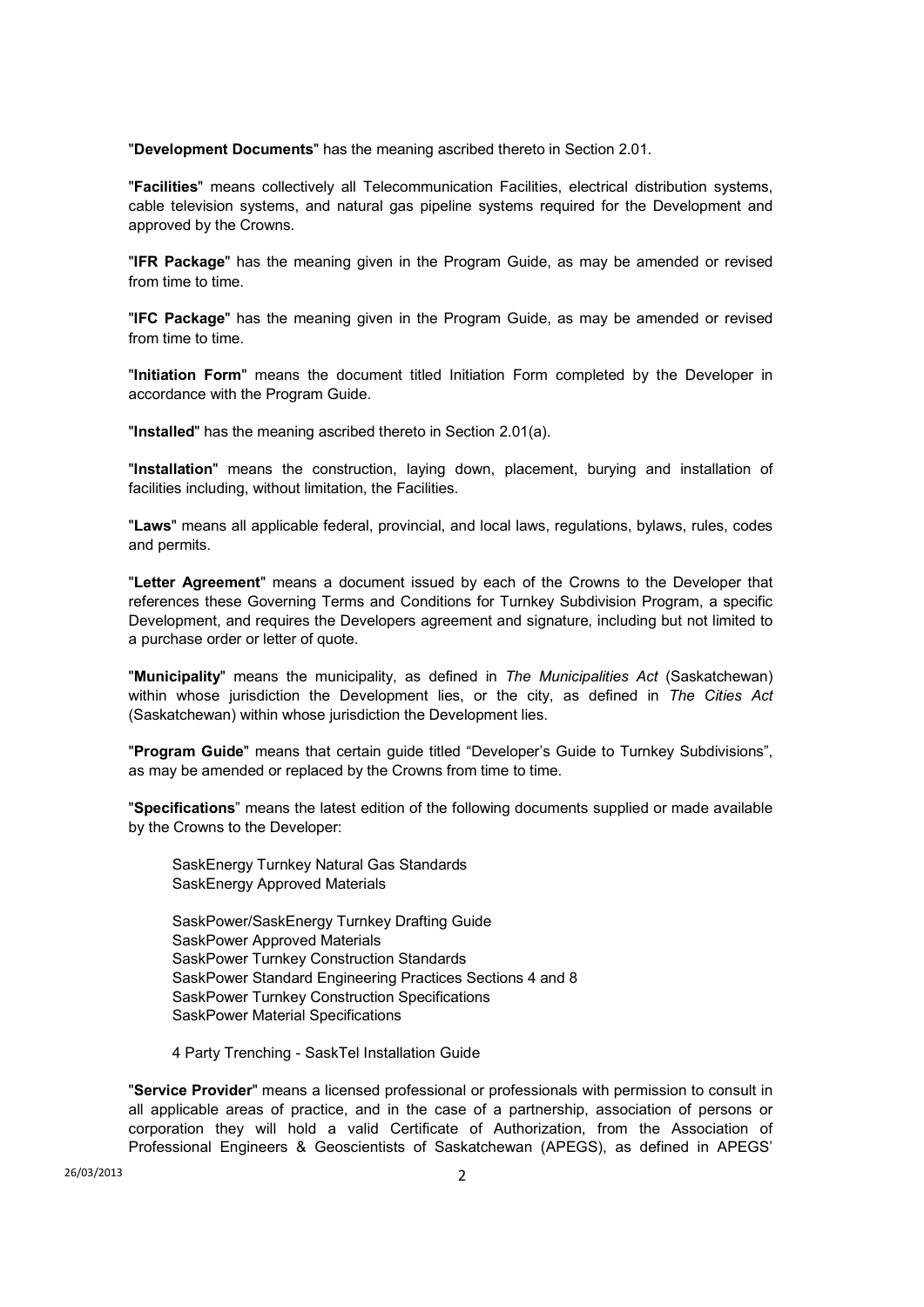"**Development Documents**" has the meaning ascribed thereto in Section 2.01.

"**Facilities**" means collectively all Telecommunication Facilities, electrical distribution systems, cable television systems, and natural gas pipeline systems required for the Development and approved by the Crowns.

"**IFR Package**" has the meaning given in the Program Guide, as may be amended or revised from time to time.

"**IFC Package**" has the meaning given in the Program Guide, as may be amended or revised from time to time.

"**Initiation Form**" means the document titled Initiation Form completed by the Developer in accordance with the Program Guide.

"**Installed**" has the meaning ascribed thereto in Section 2.01(a).

"**Installation**" means the construction, laying down, placement, burying and installation of facilities including, without limitation, the Facilities.

"**Laws**" means all applicable federal, provincial, and local laws, regulations, bylaws, rules, codes and permits.

"**Letter Agreement**" means a document issued by each of the Crowns to the Developer that references these Governing Terms and Conditions for Turnkey Subdivision Program, a specific Development, and requires the Developers agreement and signature, including but not limited to a purchase order or letter of quote.

"**Municipality**" means the municipality, as defined in *The Municipalities Act* (Saskatchewan) within whose jurisdiction the Development lies, or the city, as defined in *The Cities Act* (Saskatchewan) within whose jurisdiction the Development lies.

"**Program Guide**" means that certain guide titled "Developer's Guide to Turnkey Subdivisions", as may be amended or replaced by the Crowns from time to time.

"**Specifications**" means the latest edition of the following documents supplied or made available by the Crowns to the Developer:

SaskEnergy Turnkey Natural Gas Standards SaskEnergy Approved Materials

SaskPower/SaskEnergy Turnkey Drafting Guide SaskPower Approved Materials SaskPower Turnkey Construction Standards SaskPower Standard Engineering Practices Sections 4 and 8 SaskPower Turnkey Construction Specifications SaskPower Material Specifications

4 Party Trenching - SaskTel Installation Guide

"**Service Provider**" means a licensed professional or professionals with permission to consult in all applicable areas of practice, and in the case of a partnership, association of persons or corporation they will hold a valid Certificate of Authorization, from the Association of Professional Engineers & Geoscientists of Saskatchewan (APEGS), as defined in APEGS'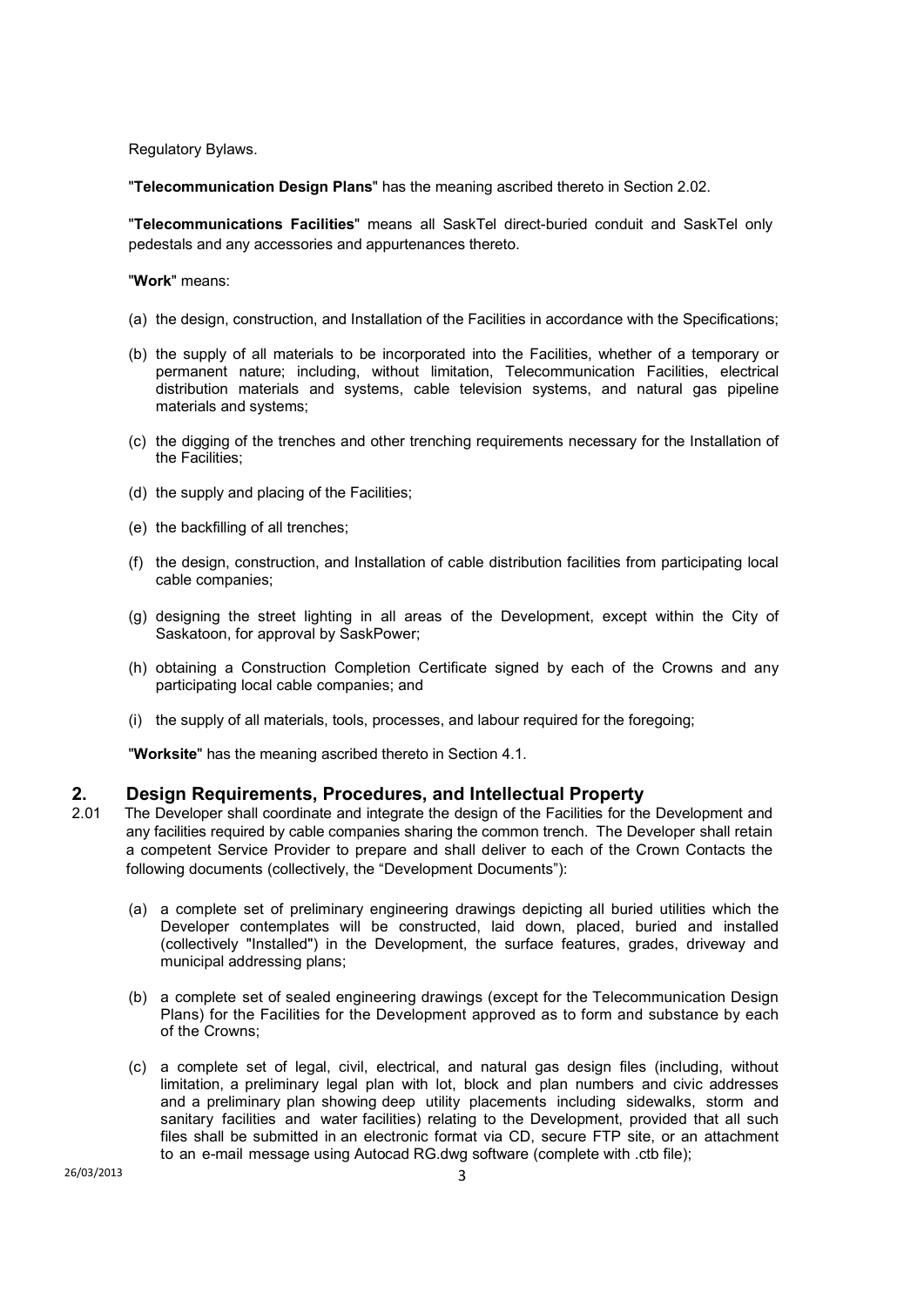Regulatory Bylaws.

"**Telecommunication Design Plans**" has the meaning ascribed thereto in Section 2.02.

"**Telecommunications Facilities**" means all SaskTel direct-buried conduit and SaskTel only pedestals and any accessories and appurtenances thereto.

"**Work**" means:

- (a) the design, construction, and Installation of the Facilities in accordance with the Specifications;
- (b) the supply of all materials to be incorporated into the Facilities, whether of a temporary or permanent nature; including, without limitation, Telecommunication Facilities, electrical distribution materials and systems, cable television systems, and natural gas pipeline materials and systems;
- (c) the digging of the trenches and other trenching requirements necessary for the Installation of the Facilities;
- (d) the supply and placing of the Facilities;
- (e) the backfilling of all trenches;
- (f) the design, construction, and Installation of cable distribution facilities from participating local cable companies;
- (g) designing the street lighting in all areas of the Development, except within the City of Saskatoon, for approval by SaskPower;
- (h) obtaining a Construction Completion Certificate signed by each of the Crowns and any participating local cable companies; and
- (i) the supply of all materials, tools, processes, and labour required for the foregoing;

"**Worksite**" has the meaning ascribed thereto in Section 4.1.

## **2. Design Requirements, Procedures, and Intellectual Property**

- 2.01 The Developer shall coordinate and integrate the design of the Facilities for the Development and any facilities required by cable companies sharing the common trench. The Developer shall retain a competent Service Provider to prepare and shall deliver to each of the Crown Contacts the following documents (collectively, the "Development Documents"):
	- (a) a complete set of preliminary engineering drawings depicting all buried utilities which the Developer contemplates will be constructed, laid down, placed, buried and installed (collectively "Installed") in the Development, the surface features, grades, driveway and municipal addressing plans;
	- (b) a complete set of sealed engineering drawings (except for the Telecommunication Design Plans) for the Facilities for the Development approved as to form and substance by each of the Crowns;
	- (c) a complete set of legal, civil, electrical, and natural gas design files (including, without limitation, a preliminary legal plan with lot, block and plan numbers and civic addresses and a preliminary plan showing deep utility placements including sidewalks, storm and sanitary facilities and water facilities) relating to the Development, provided that all such files shall be submitted in an electronic format via CD, secure FTP site, or an attachment to an e-mail message using Autocad RG.dwg software (complete with .ctb file);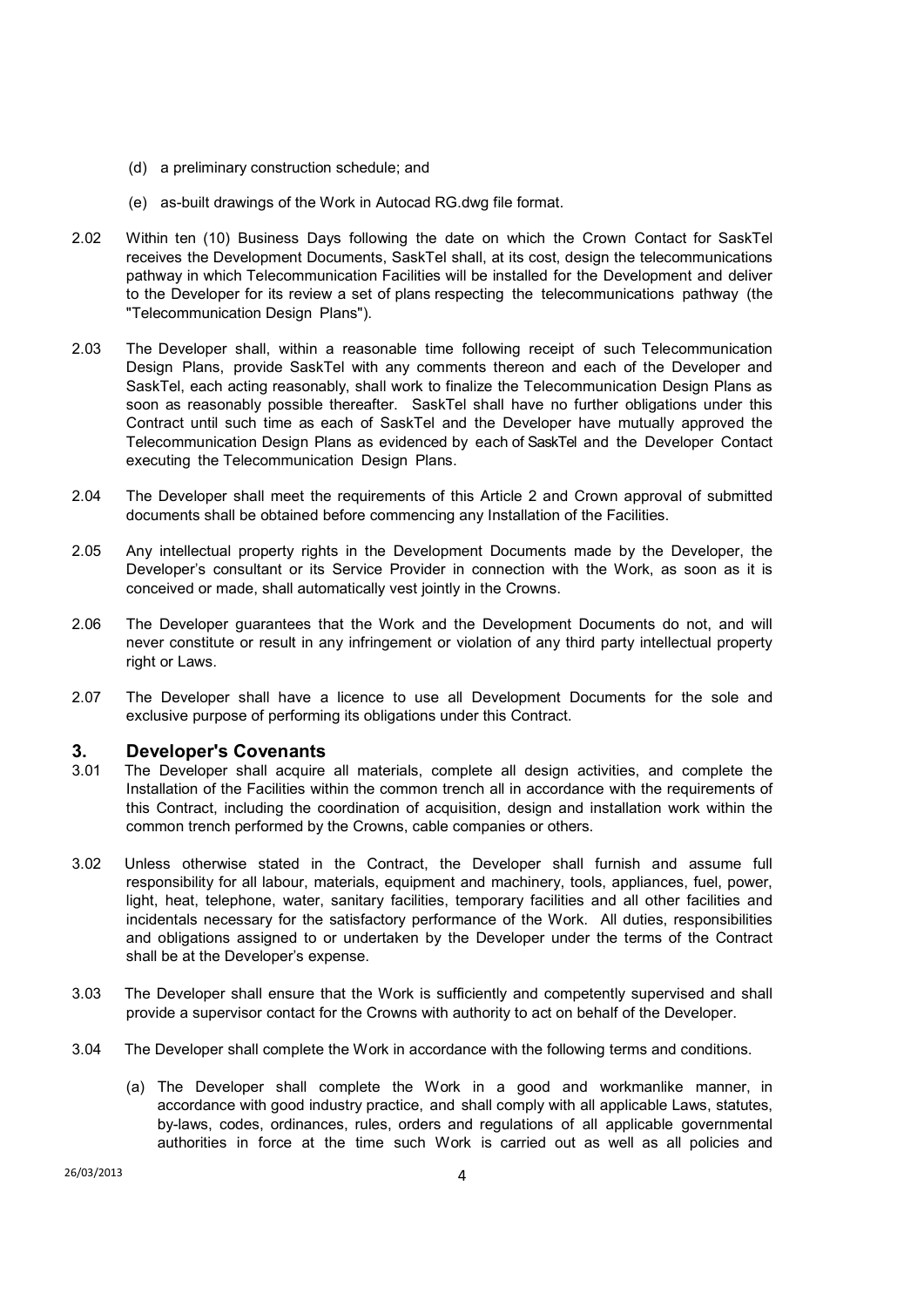- (d) a preliminary construction schedule; and
- (e) as-built drawings of the Work in Autocad RG.dwg file format.
- 2.02 Within ten (10) Business Days following the date on which the Crown Contact for SaskTel receives the Development Documents, SaskTel shall, at its cost, design the telecommunications pathway in which Telecommunication Facilities will be installed for the Development and deliver to the Developer for its review a set of plans respecting the telecommunications pathway (the "Telecommunication Design Plans").
- 2.03 The Developer shall, within a reasonable time following receipt of such Telecommunication Design Plans, provide SaskTel with any comments thereon and each of the Developer and SaskTel, each acting reasonably, shall work to finalize the Telecommunication Design Plans as soon as reasonably possible thereafter. SaskTel shall have no further obligations under this Contract until such time as each of SaskTel and the Developer have mutually approved the Telecommunication Design Plans as evidenced by each of SaskTel and the Developer Contact executing the Telecommunication Design Plans.
- 2.04 The Developer shall meet the requirements of this Article 2 and Crown approval of submitted documents shall be obtained before commencing any Installation of the Facilities.
- 2.05 Any intellectual property rights in the Development Documents made by the Developer, the Developer's consultant or its Service Provider in connection with the Work, as soon as it is conceived or made, shall automatically vest jointly in the Crowns.
- 2.06 The Developer guarantees that the Work and the Development Documents do not, and will never constitute or result in any infringement or violation of any third party intellectual property right or Laws.
- 2.07 The Developer shall have a licence to use all Development Documents for the sole and exclusive purpose of performing its obligations under this Contract.

### **3. Developer's Covenants**

- 3.01 The Developer shall acquire all materials, complete all design activities, and complete the Installation of the Facilities within the common trench all in accordance with the requirements of this Contract, including the coordination of acquisition, design and installation work within the common trench performed by the Crowns, cable companies or others.
- 3.02 Unless otherwise stated in the Contract, the Developer shall furnish and assume full responsibility for all labour, materials, equipment and machinery, tools, appliances, fuel, power, light, heat, telephone, water, sanitary facilities, temporary facilities and all other facilities and incidentals necessary for the satisfactory performance of the Work. All duties, responsibilities and obligations assigned to or undertaken by the Developer under the terms of the Contract shall be at the Developer's expense.
- 3.03 The Developer shall ensure that the Work is sufficiently and competently supervised and shall provide a supervisor contact for the Crowns with authority to act on behalf of the Developer.
- 3.04 The Developer shall complete the Work in accordance with the following terms and conditions.
	- (a) The Developer shall complete the Work in a good and workmanlike manner, in accordance with good industry practice, and shall comply with all applicable Laws, statutes, by-laws, codes, ordinances, rules, orders and regulations of all applicable governmental authorities in force at the time such Work is carried out as well as all policies and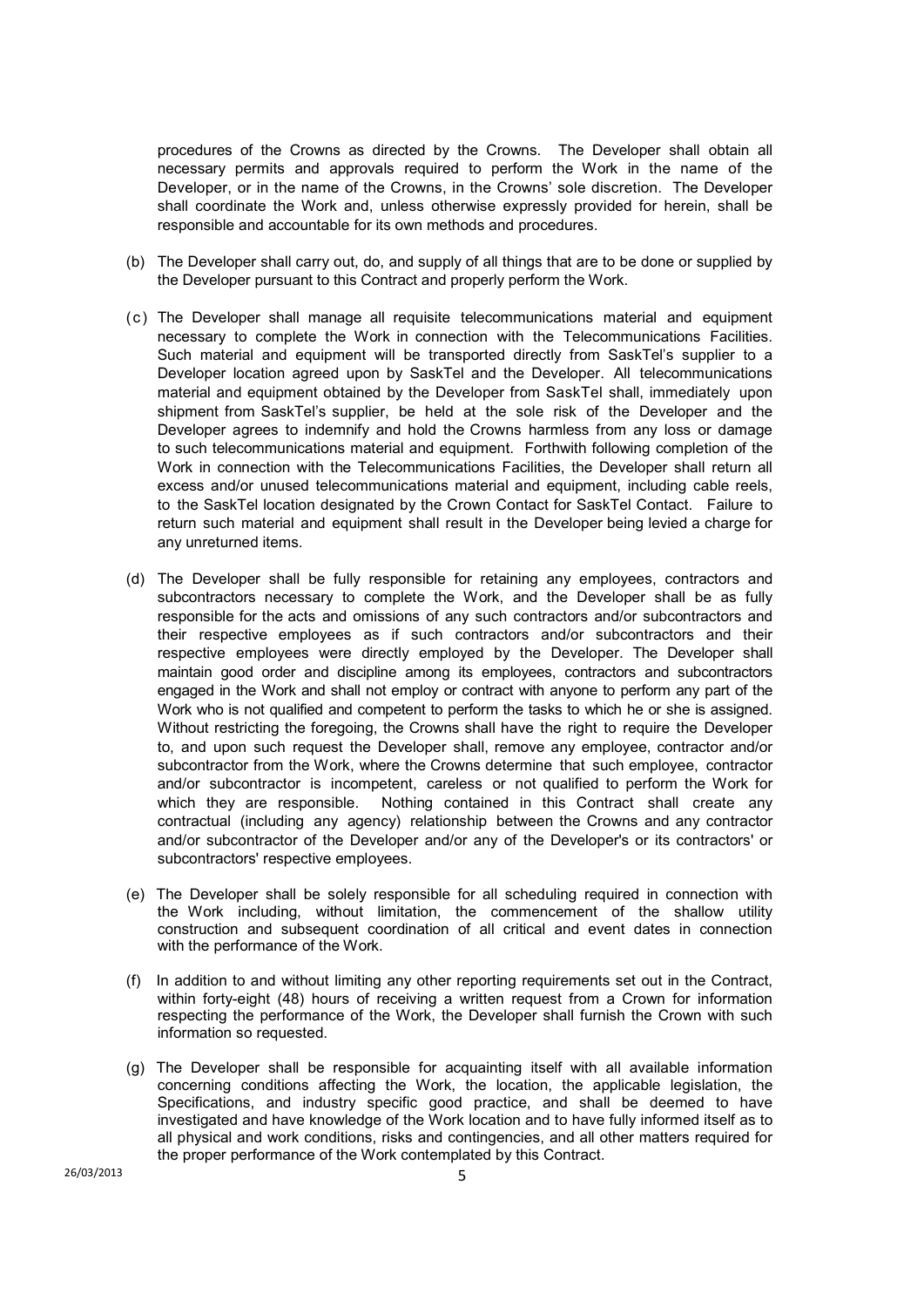procedures of the Crowns as directed by the Crowns. The Developer shall obtain all necessary permits and approvals required to perform the Work in the name of the Developer, or in the name of the Crowns, in the Crowns' sole discretion. The Developer shall coordinate the Work and, unless otherwise expressly provided for herein, shall be responsible and accountable for its own methods and procedures.

- (b) The Developer shall carry out, do, and supply of all things that are to be done or supplied by the Developer pursuant to this Contract and properly perform the Work.
- (c) The Developer shall manage all requisite telecommunications material and equipment necessary to complete the Work in connection with the Telecommunications Facilities. Such material and equipment will be transported directly from SaskTel's supplier to a Developer location agreed upon by SaskTel and the Developer. All telecommunications material and equipment obtained by the Developer from SaskTel shall, immediately upon shipment from SaskTel's supplier, be held at the sole risk of the Developer and the Developer agrees to indemnify and hold the Crowns harmless from any loss or damage to such telecommunications material and equipment. Forthwith following completion of the Work in connection with the Telecommunications Facilities, the Developer shall return all excess and/or unused telecommunications material and equipment, including cable reels, to the SaskTel location designated by the Crown Contact for SaskTel Contact. Failure to return such material and equipment shall result in the Developer being levied a charge for any unreturned items.
- (d) The Developer shall be fully responsible for retaining any employees, contractors and subcontractors necessary to complete the Work, and the Developer shall be as fully responsible for the acts and omissions of any such contractors and/or subcontractors and their respective employees as if such contractors and/or subcontractors and their respective employees were directly employed by the Developer. The Developer shall maintain good order and discipline among its employees, contractors and subcontractors engaged in the Work and shall not employ or contract with anyone to perform any part of the Work who is not qualified and competent to perform the tasks to which he or she is assigned. Without restricting the foregoing, the Crowns shall have the right to require the Developer to, and upon such request the Developer shall, remove any employee, contractor and/or subcontractor from the Work, where the Crowns determine that such employee, contractor and/or subcontractor is incompetent, careless or not qualified to perform the Work for which they are responsible. Nothing contained in this Contract shall create any contractual (including any agency) relationship between the Crowns and any contractor and/or subcontractor of the Developer and/or any of the Developer's or its contractors' or subcontractors' respective employees.
- (e) The Developer shall be solely responsible for all scheduling required in connection with the Work including, without limitation, the commencement of the shallow utility construction and subsequent coordination of all critical and event dates in connection with the performance of the Work.
- (f) In addition to and without limiting any other reporting requirements set out in the Contract, within forty-eight (48) hours of receiving a written request from a Crown for information respecting the performance of the Work, the Developer shall furnish the Crown with such information so requested.
- (g) The Developer shall be responsible for acquainting itself with all available information concerning conditions affecting the Work, the location, the applicable legislation, the Specifications, and industry specific good practice, and shall be deemed to have investigated and have knowledge of the Work location and to have fully informed itself as to all physical and work conditions, risks and contingencies, and all other matters required for the proper performance of the Work contemplated by this Contract.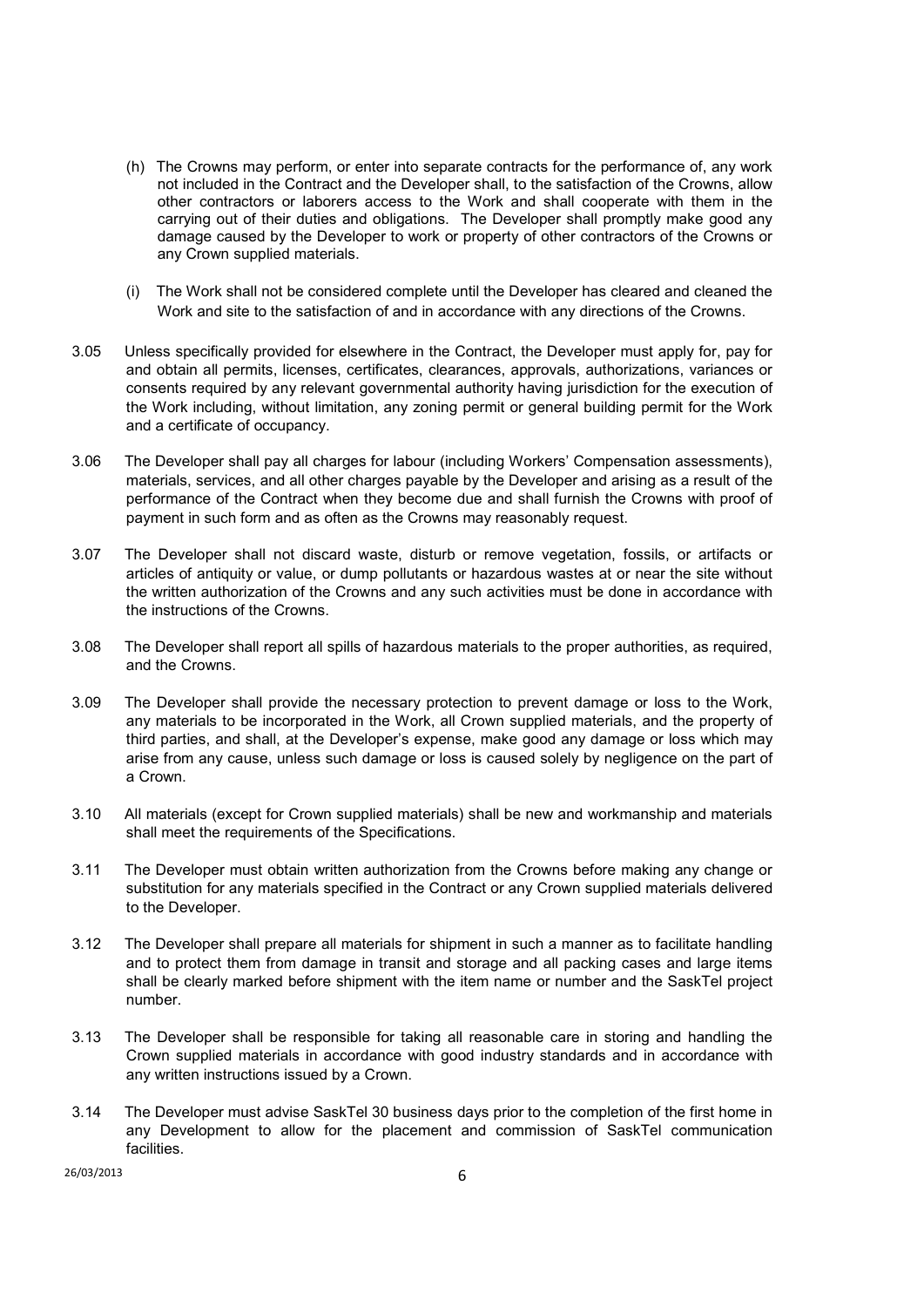- (h) The Crowns may perform, or enter into separate contracts for the performance of, any work not included in the Contract and the Developer shall, to the satisfaction of the Crowns, allow other contractors or laborers access to the Work and shall cooperate with them in the carrying out of their duties and obligations. The Developer shall promptly make good any damage caused by the Developer to work or property of other contractors of the Crowns or any Crown supplied materials.
- (i) The Work shall not be considered complete until the Developer has cleared and cleaned the Work and site to the satisfaction of and in accordance with any directions of the Crowns.
- 3.05 Unless specifically provided for elsewhere in the Contract, the Developer must apply for, pay for and obtain all permits, licenses, certificates, clearances, approvals, authorizations, variances or consents required by any relevant governmental authority having jurisdiction for the execution of the Work including, without limitation, any zoning permit or general building permit for the Work and a certificate of occupancy.
- 3.06 The Developer shall pay all charges for labour (including Workers' Compensation assessments), materials, services, and all other charges payable by the Developer and arising as a result of the performance of the Contract when they become due and shall furnish the Crowns with proof of payment in such form and as often as the Crowns may reasonably request.
- 3.07 The Developer shall not discard waste, disturb or remove vegetation, fossils, or artifacts or articles of antiquity or value, or dump pollutants or hazardous wastes at or near the site without the written authorization of the Crowns and any such activities must be done in accordance with the instructions of the Crowns.
- 3.08 The Developer shall report all spills of hazardous materials to the proper authorities, as required, and the Crowns.
- 3.09 The Developer shall provide the necessary protection to prevent damage or loss to the Work, any materials to be incorporated in the Work, all Crown supplied materials, and the property of third parties, and shall, at the Developer's expense, make good any damage or loss which may arise from any cause, unless such damage or loss is caused solely by negligence on the part of a Crown.
- 3.10 All materials (except for Crown supplied materials) shall be new and workmanship and materials shall meet the requirements of the Specifications.
- 3.11 The Developer must obtain written authorization from the Crowns before making any change or substitution for any materials specified in the Contract or any Crown supplied materials delivered to the Developer.
- 3.12 The Developer shall prepare all materials for shipment in such a manner as to facilitate handling and to protect them from damage in transit and storage and all packing cases and large items shall be clearly marked before shipment with the item name or number and the SaskTel project number.
- 3.13 The Developer shall be responsible for taking all reasonable care in storing and handling the Crown supplied materials in accordance with good industry standards and in accordance with any written instructions issued by a Crown.
- 3.14 The Developer must advise SaskTel 30 business days prior to the completion of the first home in any Development to allow for the placement and commission of SaskTel communication facilities.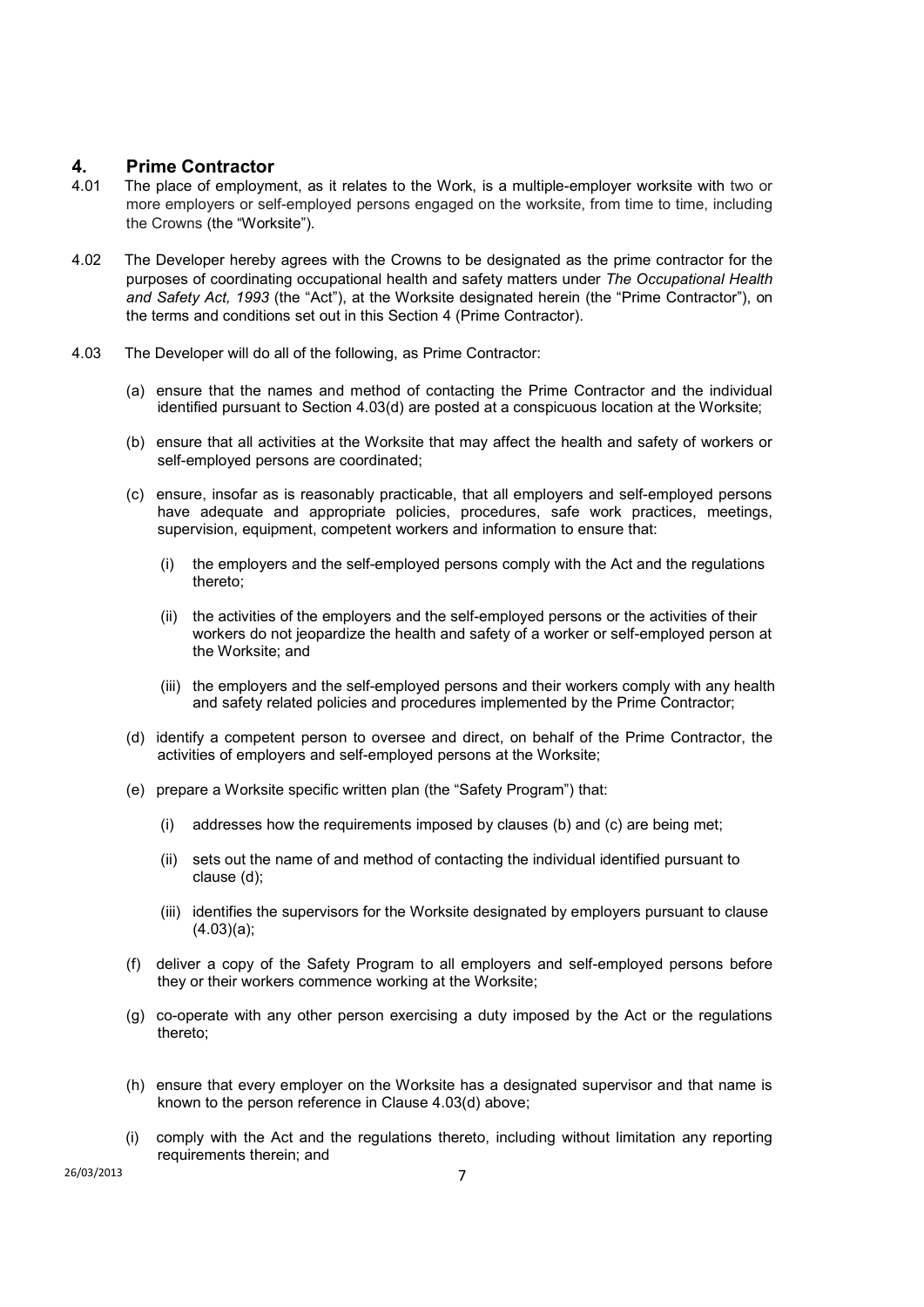# **4.** Prime Contractor<br>4.01 The place of employm

- The place of employment, as it relates to the Work, is a multiple-employer worksite with two or more employers or self-employed persons engaged on the worksite, from time to time, including the Crowns (the "Worksite").
- 4.02 The Developer hereby agrees with the Crowns to be designated as the prime contractor for the purposes of coordinating occupational health and safety matters under *The Occupational Health and Safety Act, 1993* (the "Act"), at the Worksite designated herein (the "Prime Contractor"), on the terms and conditions set out in this Section 4 (Prime Contractor).
- 4.03 The Developer will do all of the following, as Prime Contractor:
	- (a) ensure that the names and method of contacting the Prime Contractor and the individual identified pursuant to Section 4.03(d) are posted at a conspicuous location at the Worksite;
	- (b) ensure that all activities at the Worksite that may affect the health and safety of workers or self-employed persons are coordinated;
	- (c) ensure, insofar as is reasonably practicable, that all employers and self-employed persons have adequate and appropriate policies, procedures, safe work practices, meetings, supervision, equipment, competent workers and information to ensure that:
		- (i) the employers and the self-employed persons comply with the Act and the regulations thereto;
		- (ii) the activities of the employers and the self-employed persons or the activities of their workers do not jeopardize the health and safety of a worker or self-employed person at the Worksite; and
		- (iii) the employers and the self-employed persons and their workers comply with any health and safety related policies and procedures implemented by the Prime Contractor;
	- (d) identify a competent person to oversee and direct, on behalf of the Prime Contractor, the activities of employers and self-employed persons at the Worksite;
	- (e) prepare a Worksite specific written plan (the "Safety Program") that:
		- (i) addresses how the requirements imposed by clauses (b) and (c) are being met;
		- (ii) sets out the name of and method of contacting the individual identified pursuant to clause (d);
		- (iii) identifies the supervisors for the Worksite designated by employers pursuant to clause (4.03)(a);
	- (f) deliver a copy of the Safety Program to all employers and self-employed persons before they or their workers commence working at the Worksite;
	- (g) co-operate with any other person exercising a duty imposed by the Act or the regulations thereto;
	- (h) ensure that every employer on the Worksite has a designated supervisor and that name is known to the person reference in Clause 4.03(d) above;
	- (i) comply with the Act and the regulations thereto, including without limitation any reporting requirements therein; and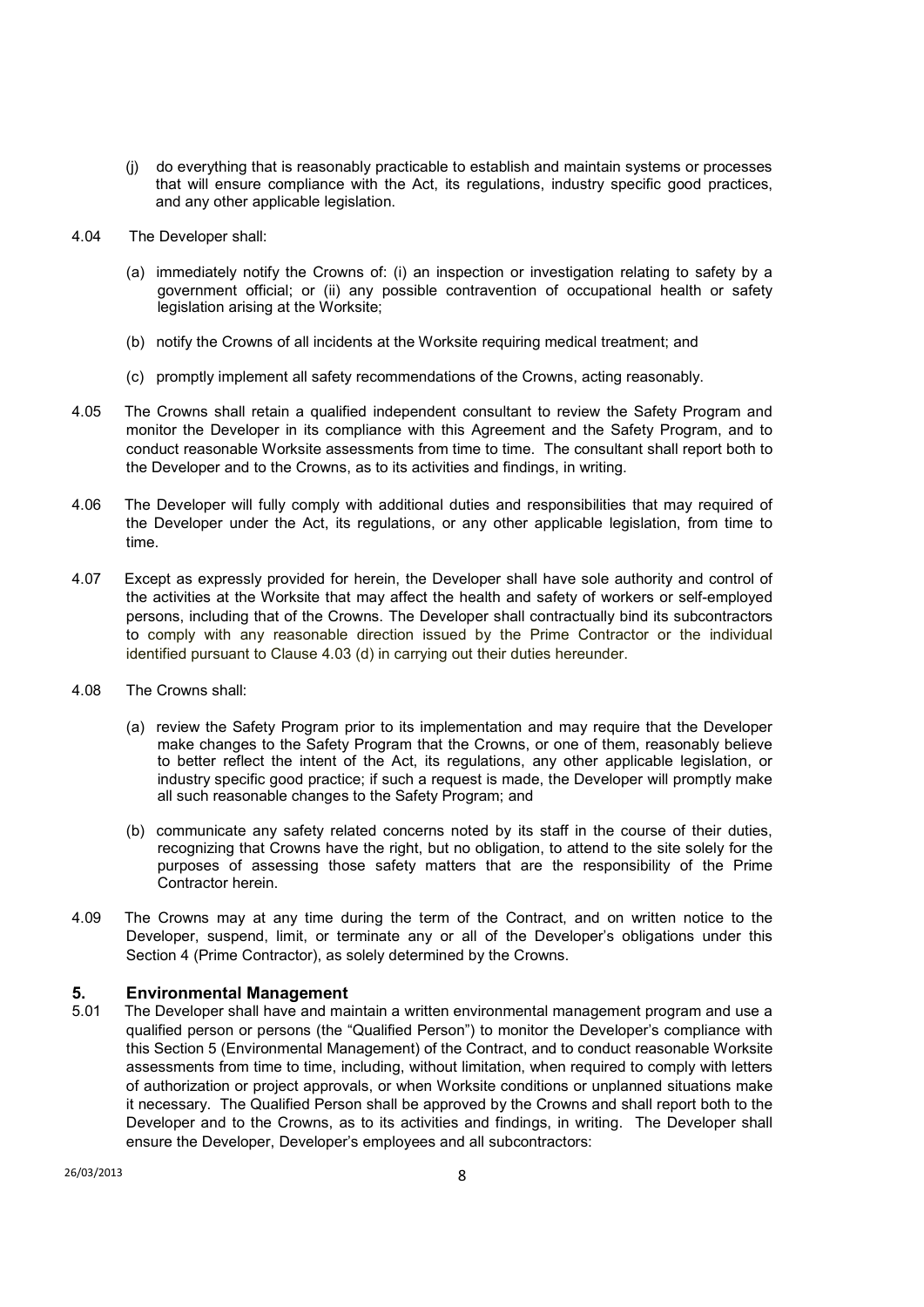- (j) do everything that is reasonably practicable to establish and maintain systems or processes that will ensure compliance with the Act, its regulations, industry specific good practices, and any other applicable legislation.
- 4.04The Developer shall:
	- (a) immediately notify the Crowns of: (i) an inspection or investigation relating to safety by a government official; or (ii) any possible contravention of occupational health or safety legislation arising at the Worksite;
	- (b) notify the Crowns of all incidents at the Worksite requiring medical treatment; and
	- (c) promptly implement all safety recommendations of the Crowns, acting reasonably.
- 4.05 The Crowns shall retain a qualified independent consultant to review the Safety Program and monitor the Developer in its compliance with this Agreement and the Safety Program, and to conduct reasonable Worksite assessments from time to time. The consultant shall report both to the Developer and to the Crowns, as to its activities and findings, in writing.
- 4.06 The Developer will fully comply with additional duties and responsibilities that may required of the Developer under the Act, its regulations, or any other applicable legislation, from time to time.
- 4.07 Except as expressly provided for herein, the Developer shall have sole authority and control of the activities at the Worksite that may affect the health and safety of workers or self-employed persons, including that of the Crowns. The Developer shall contractually bind its subcontractors to comply with any reasonable direction issued by the Prime Contractor or the individual identified pursuant to Clause 4.03 (d) in carrying out their duties hereunder.
- 4.08 The Crowns shall:
	- (a) review the Safety Program prior to its implementation and may require that the Developer make changes to the Safety Program that the Crowns, or one of them, reasonably believe to better reflect the intent of the Act, its regulations, any other applicable legislation, or industry specific good practice; if such a request is made, the Developer will promptly make all such reasonable changes to the Safety Program; and
	- (b) communicate any safety related concerns noted by its staff in the course of their duties, recognizing that Crowns have the right, but no obligation, to attend to the site solely for the purposes of assessing those safety matters that are the responsibility of the Prime Contractor herein.
- 4.09 The Crowns may at any time during the term of the Contract, and on written notice to the Developer, suspend, limit, or terminate any or all of the Developer's obligations under this Section 4 (Prime Contractor), as solely determined by the Crowns.

# **5. Environmental Management 5.01** The Developer shall have and ma

The Developer shall have and maintain a written environmental management program and use a qualified person or persons (the "Qualified Person") to monitor the Developer's compliance with this Section 5 (Environmental Management) of the Contract, and to conduct reasonable Worksite assessments from time to time, including, without limitation, when required to comply with letters of authorization or project approvals, or when Worksite conditions or unplanned situations make it necessary. The Qualified Person shall be approved by the Crowns and shall report both to the Developer and to the Crowns, as to its activities and findings, in writing. The Developer shall ensure the Developer, Developer's employees and all subcontractors: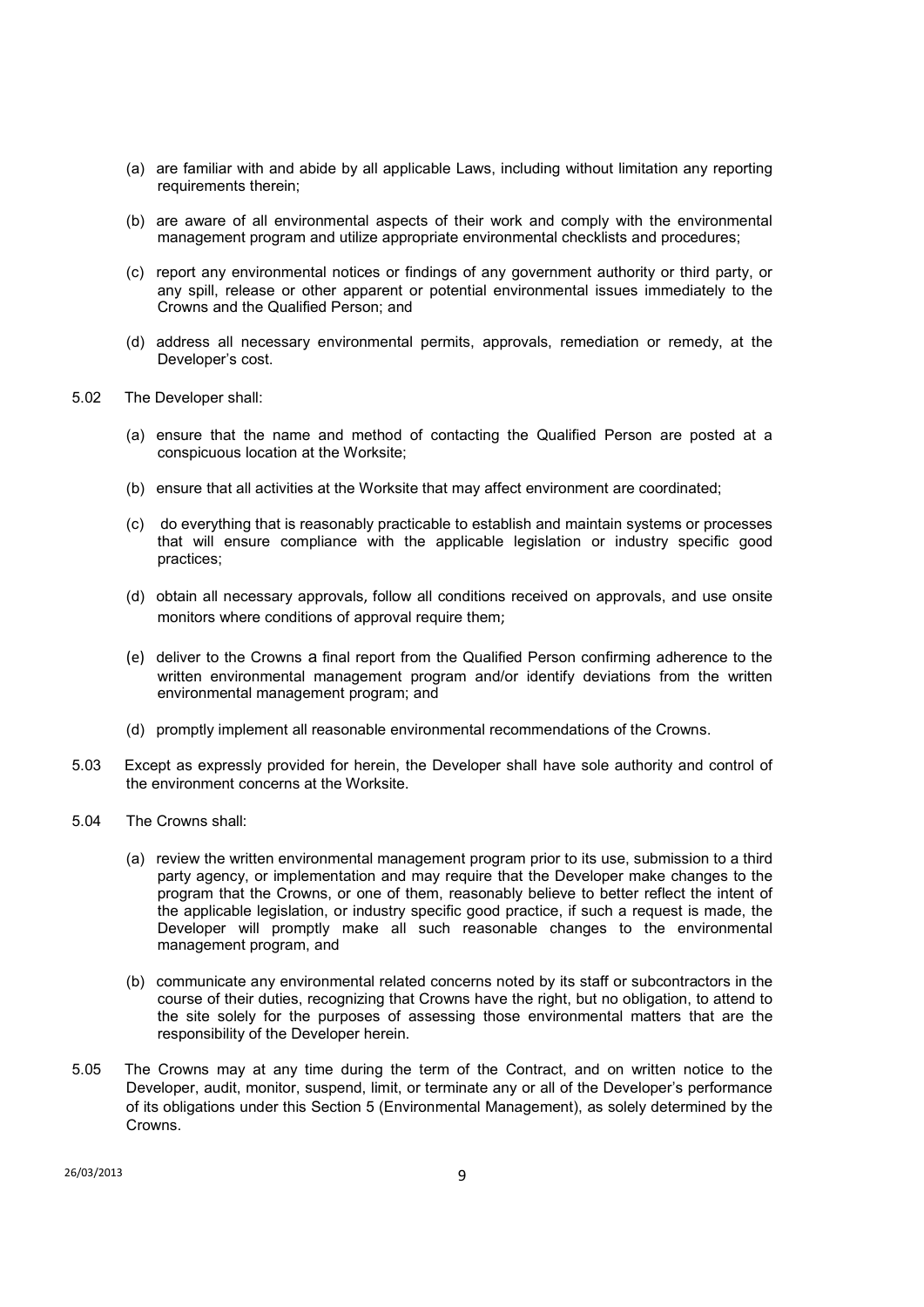- (a) are familiar with and abide by all applicable Laws, including without limitation any reporting requirements therein;
- (b) are aware of all environmental aspects of their work and comply with the environmental management program and utilize appropriate environmental checklists and procedures;
- (c) report any environmental notices or findings of any government authority or third party, or any spill, release or other apparent or potential environmental issues immediately to the Crowns and the Qualified Person; and
- (d) address all necessary environmental permits, approvals, remediation or remedy, at the Developer's cost.
- 5.02 The Developer shall:
	- (a) ensure that the name and method of contacting the Qualified Person are posted at a conspicuous location at the Worksite;
	- (b) ensure that all activities at the Worksite that may affect environment are coordinated;
	- (c) do everything that is reasonably practicable to establish and maintain systems or processes that will ensure compliance with the applicable legislation or industry specific good practices;
	- (d) obtain all necessary approvals, follow all conditions received on approvals, and use onsite monitors where conditions of approval require them;
	- (e) deliver to the Crowns a final report from the Qualified Person confirming adherence to the written environmental management program and/or identify deviations from the written environmental management program; and
	- (d) promptly implement all reasonable environmental recommendations of the Crowns.
- 5.03 Except as expressly provided for herein, the Developer shall have sole authority and control of the environment concerns at the Worksite.
- 5.04 The Crowns shall:
	- (a) review the written environmental management program prior to its use, submission to a third party agency, or implementation and may require that the Developer make changes to the program that the Crowns, or one of them, reasonably believe to better reflect the intent of the applicable legislation, or industry specific good practice, if such a request is made, the Developer will promptly make all such reasonable changes to the environmental management program, and
	- (b) communicate any environmental related concerns noted by its staff or subcontractors in the course of their duties, recognizing that Crowns have the right, but no obligation, to attend to the site solely for the purposes of assessing those environmental matters that are the responsibility of the Developer herein.
- 5.05 The Crowns may at any time during the term of the Contract, and on written notice to the Developer, audit, monitor, suspend, limit, or terminate any or all of the Developer's performance of its obligations under this Section 5 (Environmental Management), as solely determined by the Crowns.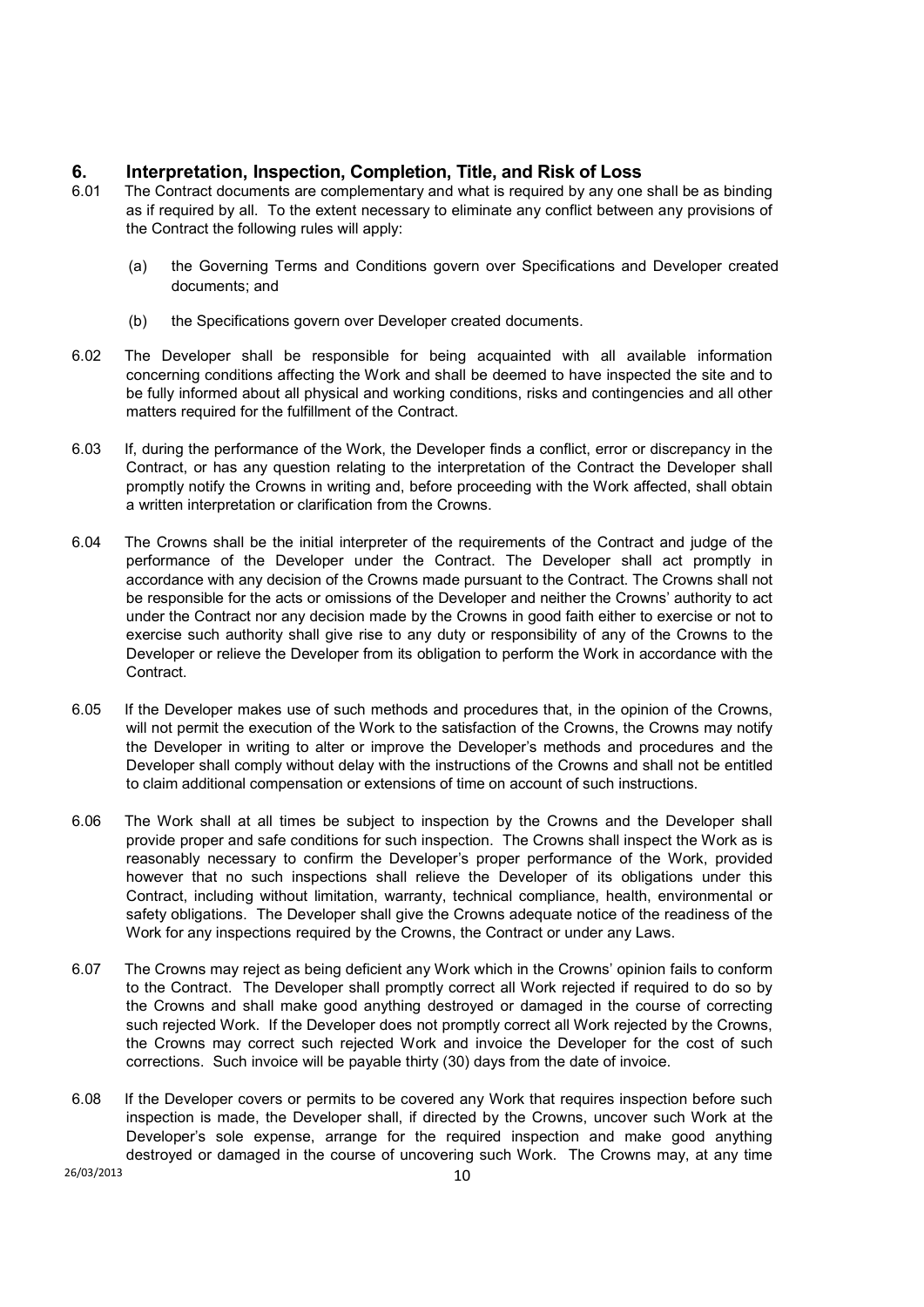# **6. Interpretation, Inspection, Completion, Title, and Risk of Loss**

- 6.01 The Contract documents are complementary and what is required by any one shall be as binding as if required by all. To the extent necessary to eliminate any conflict between any provisions of the Contract the following rules will apply:
	- (a) the Governing Terms and Conditions govern over Specifications and Developer created documents; and
	- (b) the Specifications govern over Developer created documents.
- 6.02 The Developer shall be responsible for being acquainted with all available information concerning conditions affecting the Work and shall be deemed to have inspected the site and to be fully informed about all physical and working conditions, risks and contingencies and all other matters required for the fulfillment of the Contract.
- 6.03 If, during the performance of the Work, the Developer finds a conflict, error or discrepancy in the Contract, or has any question relating to the interpretation of the Contract the Developer shall promptly notify the Crowns in writing and, before proceeding with the Work affected, shall obtain a written interpretation or clarification from the Crowns.
- 6.04 The Crowns shall be the initial interpreter of the requirements of the Contract and judge of the performance of the Developer under the Contract. The Developer shall act promptly in accordance with any decision of the Crowns made pursuant to the Contract. The Crowns shall not be responsible for the acts or omissions of the Developer and neither the Crowns' authority to act under the Contract nor any decision made by the Crowns in good faith either to exercise or not to exercise such authority shall give rise to any duty or responsibility of any of the Crowns to the Developer or relieve the Developer from its obligation to perform the Work in accordance with the Contract.
- 6.05 If the Developer makes use of such methods and procedures that, in the opinion of the Crowns, will not permit the execution of the Work to the satisfaction of the Crowns, the Crowns may notify the Developer in writing to alter or improve the Developer's methods and procedures and the Developer shall comply without delay with the instructions of the Crowns and shall not be entitled to claim additional compensation or extensions of time on account of such instructions.
- 6.06 The Work shall at all times be subject to inspection by the Crowns and the Developer shall provide proper and safe conditions for such inspection. The Crowns shall inspect the Work as is reasonably necessary to confirm the Developer's proper performance of the Work, provided however that no such inspections shall relieve the Developer of its obligations under this Contract, including without limitation, warranty, technical compliance, health, environmental or safety obligations. The Developer shall give the Crowns adequate notice of the readiness of the Work for any inspections required by the Crowns, the Contract or under any Laws.
- 6.07 The Crowns may reject as being deficient any Work which in the Crowns' opinion fails to conform to the Contract. The Developer shall promptly correct all Work rejected if required to do so by the Crowns and shall make good anything destroyed or damaged in the course of correcting such rejected Work. If the Developer does not promptly correct all Work rejected by the Crowns, the Crowns may correct such rejected Work and invoice the Developer for the cost of such corrections. Such invoice will be payable thirty (30) days from the date of invoice.
- 6.08 If the Developer covers or permits to be covered any Work that requires inspection before such inspection is made, the Developer shall, if directed by the Crowns, uncover such Work at the Developer's sole expense, arrange for the required inspection and make good anything destroyed or damaged in the course of uncovering such Work. The Crowns may, at any time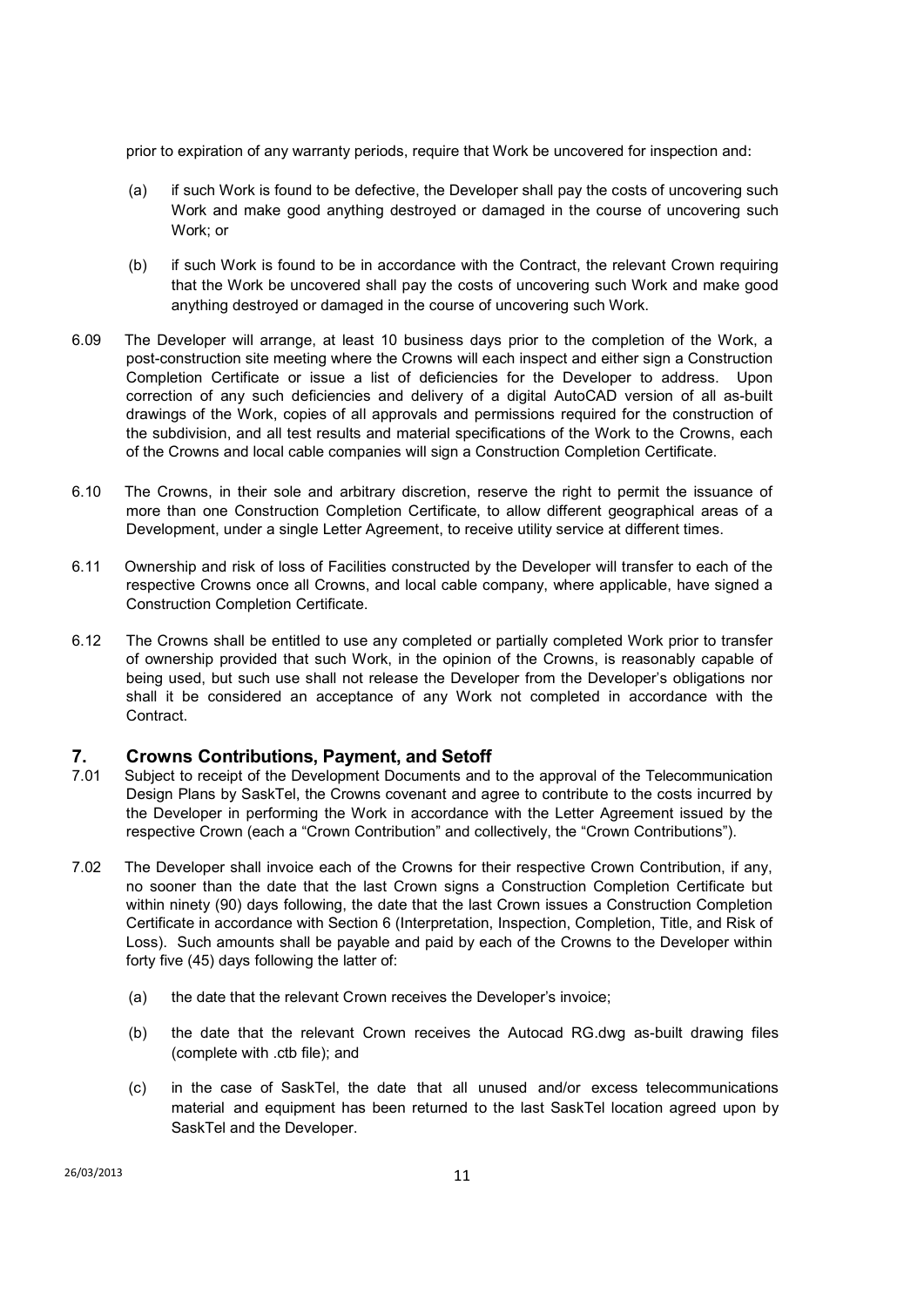prior to expiration of any warranty periods, require that Work be uncovered for inspection and:

- (a) if such Work is found to be defective, the Developer shall pay the costs of uncovering such Work and make good anything destroyed or damaged in the course of uncovering such Work; or
- (b) if such Work is found to be in accordance with the Contract, the relevant Crown requiring that the Work be uncovered shall pay the costs of uncovering such Work and make good anything destroyed or damaged in the course of uncovering such Work.
- 6.09 The Developer will arrange, at least 10 business days prior to the completion of the Work, a post-construction site meeting where the Crowns will each inspect and either sign a Construction Completion Certificate or issue a list of deficiencies for the Developer to address. Upon correction of any such deficiencies and delivery of a digital AutoCAD version of all as-built drawings of the Work, copies of all approvals and permissions required for the construction of the subdivision, and all test results and material specifications of the Work to the Crowns, each of the Crowns and local cable companies will sign a Construction Completion Certificate.
- 6.10 The Crowns, in their sole and arbitrary discretion, reserve the right to permit the issuance of more than one Construction Completion Certificate, to allow different geographical areas of a Development, under a single Letter Agreement, to receive utility service at different times.
- 6.11 Ownership and risk of loss of Facilities constructed by the Developer will transfer to each of the respective Crowns once all Crowns, and local cable company, where applicable, have signed a Construction Completion Certificate.
- 6.12 The Crowns shall be entitled to use any completed or partially completed Work prior to transfer of ownership provided that such Work, in the opinion of the Crowns, is reasonably capable of being used, but such use shall not release the Developer from the Developer's obligations nor shall it be considered an acceptance of any Work not completed in accordance with the Contract.

# **7. Crowns Contributions, Payment, and Setoff**

- 7.01 Subject to receipt of the Development Documents and to the approval of the Telecommunication Design Plans by SaskTel, the Crowns covenant and agree to contribute to the costs incurred by the Developer in performing the Work in accordance with the Letter Agreement issued by the respective Crown (each a "Crown Contribution" and collectively, the "Crown Contributions").
- 7.02 The Developer shall invoice each of the Crowns for their respective Crown Contribution, if any, no sooner than the date that the last Crown signs a Construction Completion Certificate but within ninety (90) days following, the date that the last Crown issues a Construction Completion Certificate in accordance with Section 6 (Interpretation, Inspection, Completion, Title, and Risk of Loss). Such amounts shall be payable and paid by each of the Crowns to the Developer within forty five (45) days following the latter of:
	- (a) the date that the relevant Crown receives the Developer's invoice;
	- (b) the date that the relevant Crown receives the Autocad RG.dwg as-built drawing files (complete with .ctb file); and
	- (c) in the case of SaskTel, the date that all unused and/or excess telecommunications material and equipment has been returned to the last SaskTel location agreed upon by SaskTel and the Developer.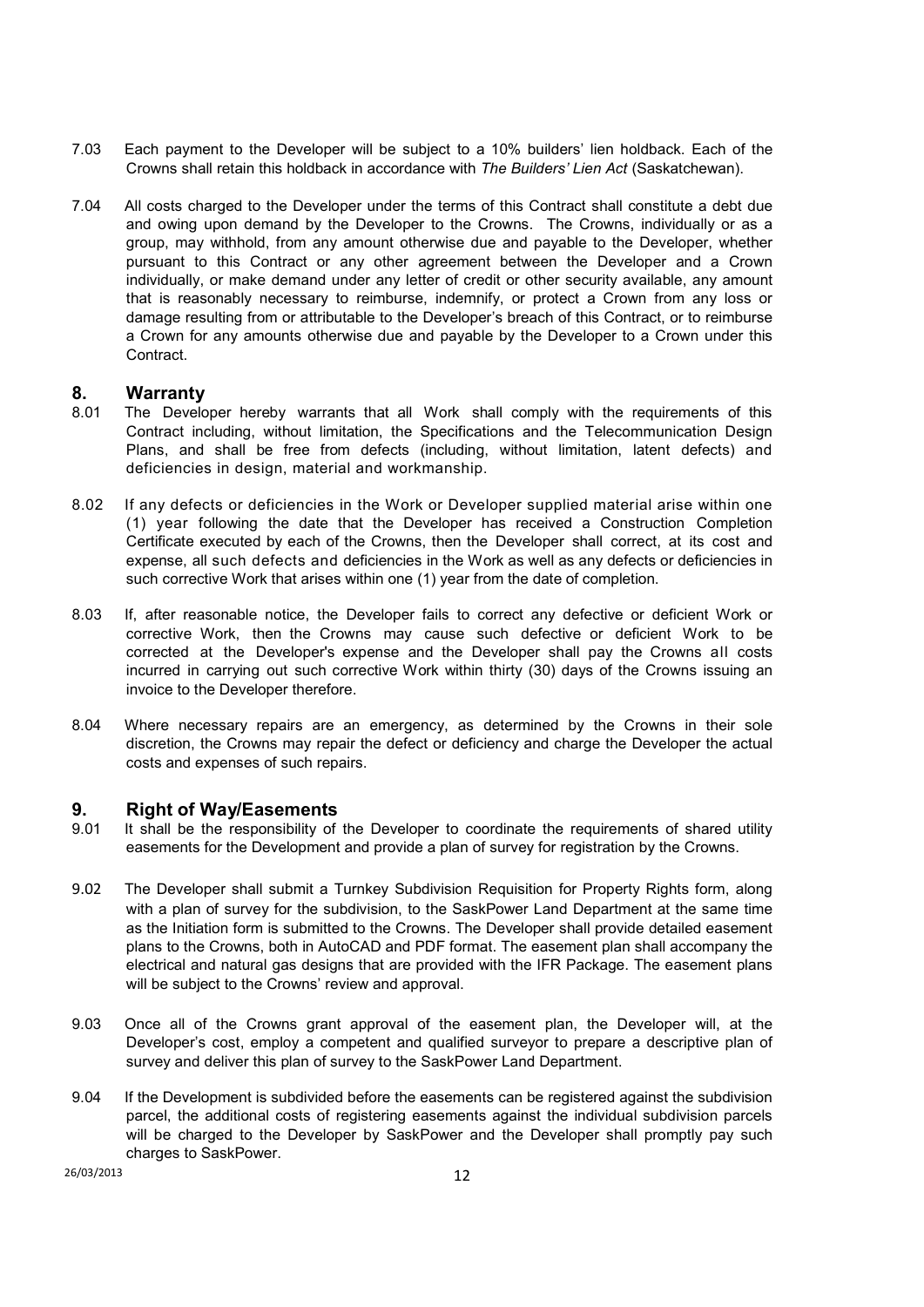- 7.03 Each payment to the Developer will be subject to a 10% builders' lien holdback. Each of the Crowns shall retain this holdback in accordance with *The Builders' Lien Act* (Saskatchewan).
- 7.04 All costs charged to the Developer under the terms of this Contract shall constitute a debt due and owing upon demand by the Developer to the Crowns. The Crowns, individually or as a group, may withhold, from any amount otherwise due and payable to the Developer, whether pursuant to this Contract or any other agreement between the Developer and a Crown individually, or make demand under any letter of credit or other security available, any amount that is reasonably necessary to reimburse, indemnify, or protect a Crown from any loss or damage resulting from or attributable to the Developer's breach of this Contract, or to reimburse a Crown for any amounts otherwise due and payable by the Developer to a Crown under this **Contract**

## **8. Warranty**

- 8.01 The Developer hereby warrants that all Work shall comply with the requirements of this Contract including, without limitation, the Specifications and the Telecommunication Design Plans, and shall be free from defects (including, without limitation, latent defects) and deficiencies in design, material and workmanship.
- 8.02 If any defects or deficiencies in the Work or Developer supplied material arise within one (1) year following the date that the Developer has received a Construction Completion Certificate executed by each of the Crowns, then the Developer shall correct, at its cost and expense, all such defects and deficiencies in the Work as well as any defects or deficiencies in such corrective Work that arises within one (1) year from the date of completion.
- 8.03 If, after reasonable notice, the Developer fails to correct any defective or deficient Work or corrective Work, then the Crowns may cause such defective or deficient Work to be corrected at the Developer's expense and the Developer shall pay the Crowns all costs incurred in carrying out such corrective Work within thirty (30) days of the Crowns issuing an invoice to the Developer therefore.
- 8.04 Where necessary repairs are an emergency, as determined by the Crowns in their sole discretion, the Crowns may repair the defect or deficiency and charge the Developer the actual costs and expenses of such repairs.

#### **9. Right of Way/Easements**

- 9.01 It shall be the responsibility of the Developer to coordinate the requirements of shared utility easements for the Development and provide a plan of survey for registration by the Crowns.
- 9.02 The Developer shall submit a Turnkey Subdivision Requisition for Property Rights form, along with a plan of survey for the subdivision, to the SaskPower Land Department at the same time as the Initiation form is submitted to the Crowns. The Developer shall provide detailed easement plans to the Crowns, both in AutoCAD and PDF format. The easement plan shall accompany the electrical and natural gas designs that are provided with the IFR Package. The easement plans will be subject to the Crowns' review and approval.
- 9.03 Once all of the Crowns grant approval of the easement plan, the Developer will, at the Developer's cost, employ a competent and qualified surveyor to prepare a descriptive plan of survey and deliver this plan of survey to the SaskPower Land Department.
- 9.04 If the Development is subdivided before the easements can be registered against the subdivision parcel, the additional costs of registering easements against the individual subdivision parcels will be charged to the Developer by SaskPower and the Developer shall promptly pay such charges to SaskPower.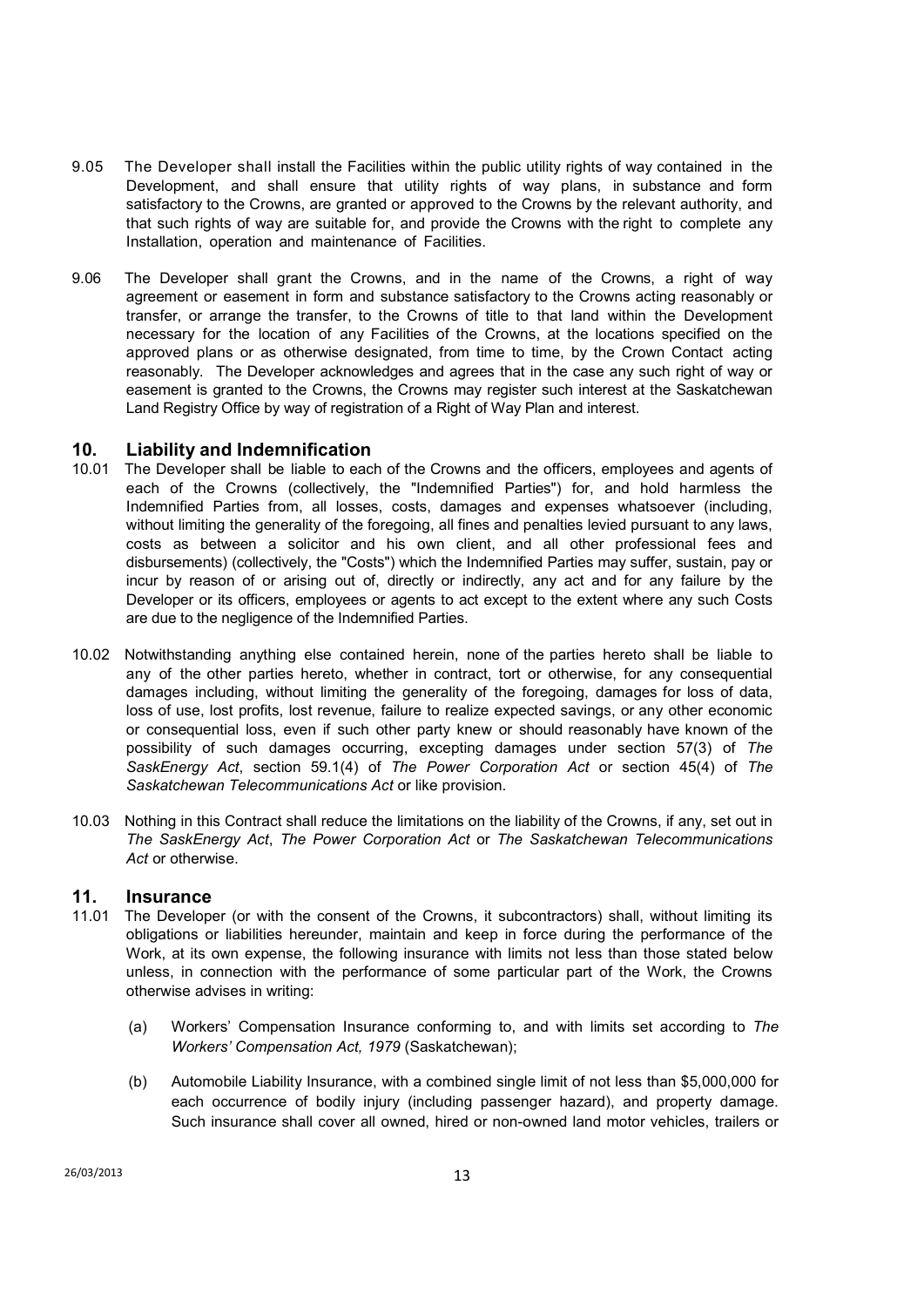- 9.05 The Developer shall install the Facilities within the public utility rights of way contained in the Development, and shall ensure that utility rights of way plans, in substance and form satisfactory to the Crowns, are granted or approved to the Crowns by the relevant authority, and that such rights of way are suitable for, and provide the Crowns with the right to complete any Installation, operation and maintenance of Facilities.
- 9.06 The Developer shall grant the Crowns, and in the name of the Crowns, a right of way agreement or easement in form and substance satisfactory to the Crowns acting reasonably or transfer, or arrange the transfer, to the Crowns of title to that land within the Development necessary for the location of any Facilities of the Crowns, at the locations specified on the approved plans or as otherwise designated, from time to time, by the Crown Contact acting reasonably. The Developer acknowledges and agrees that in the case any such right of way or easement is granted to the Crowns, the Crowns may register such interest at the Saskatchewan Land Registry Office by way of registration of a Right of Way Plan and interest.

# **10. Liability and Indemnification**

- 10.01 The Developer shall be liable to each of the Crowns and the officers, employees and agents of each of the Crowns (collectively, the "Indemnified Parties") for, and hold harmless the Indemnified Parties from, all losses, costs, damages and expenses whatsoever (including, without limiting the generality of the foregoing, all fines and penalties levied pursuant to any laws, costs as between a solicitor and his own client, and all other professional fees and disbursements) (collectively, the "Costs") which the Indemnified Parties may suffer, sustain, pay or incur by reason of or arising out of, directly or indirectly, any act and for any failure by the Developer or its officers, employees or agents to act except to the extent where any such Costs are due to the negligence of the Indemnified Parties.
- 10.02 Notwithstanding anything else contained herein, none of the parties hereto shall be liable to any of the other parties hereto, whether in contract, tort or otherwise, for any consequential damages including, without limiting the generality of the foregoing, damages for loss of data, loss of use, lost profits, lost revenue, failure to realize expected savings, or any other economic or consequential loss, even if such other party knew or should reasonably have known of the possibility of such damages occurring, excepting damages under section 57(3) of *The SaskEnergy Act*, section 59.1(4) of *The Power Corporation Act* or section 45(4) of *The Saskatchewan Telecommunications Act* or like provision.
- 10.03 Nothing in this Contract shall reduce the limitations on the liability of the Crowns, if any, set out in *The SaskEnergy Act*, *The Power Corporation Act* or *The Saskatchewan Telecommunications*  Act or otherwise.

### **11. Insurance**

- 11.01 The Developer (or with the consent of the Crowns, it subcontractors) shall, without limiting its obligations or liabilities hereunder, maintain and keep in force during the performance of the Work, at its own expense, the following insurance with limits not less than those stated below unless, in connection with the performance of some particular part of the Work, the Crowns otherwise advises in writing:
	- (a) Workers' Compensation Insurance conforming to, and with limits set according to *The Workers' Compensation Act, 1979* (Saskatchewan);
	- (b) Automobile Liability Insurance, with a combined single limit of not less than \$5,000,000 for each occurrence of bodily injury (including passenger hazard), and property damage. Such insurance shall cover all owned, hired or non-owned land motor vehicles, trailers or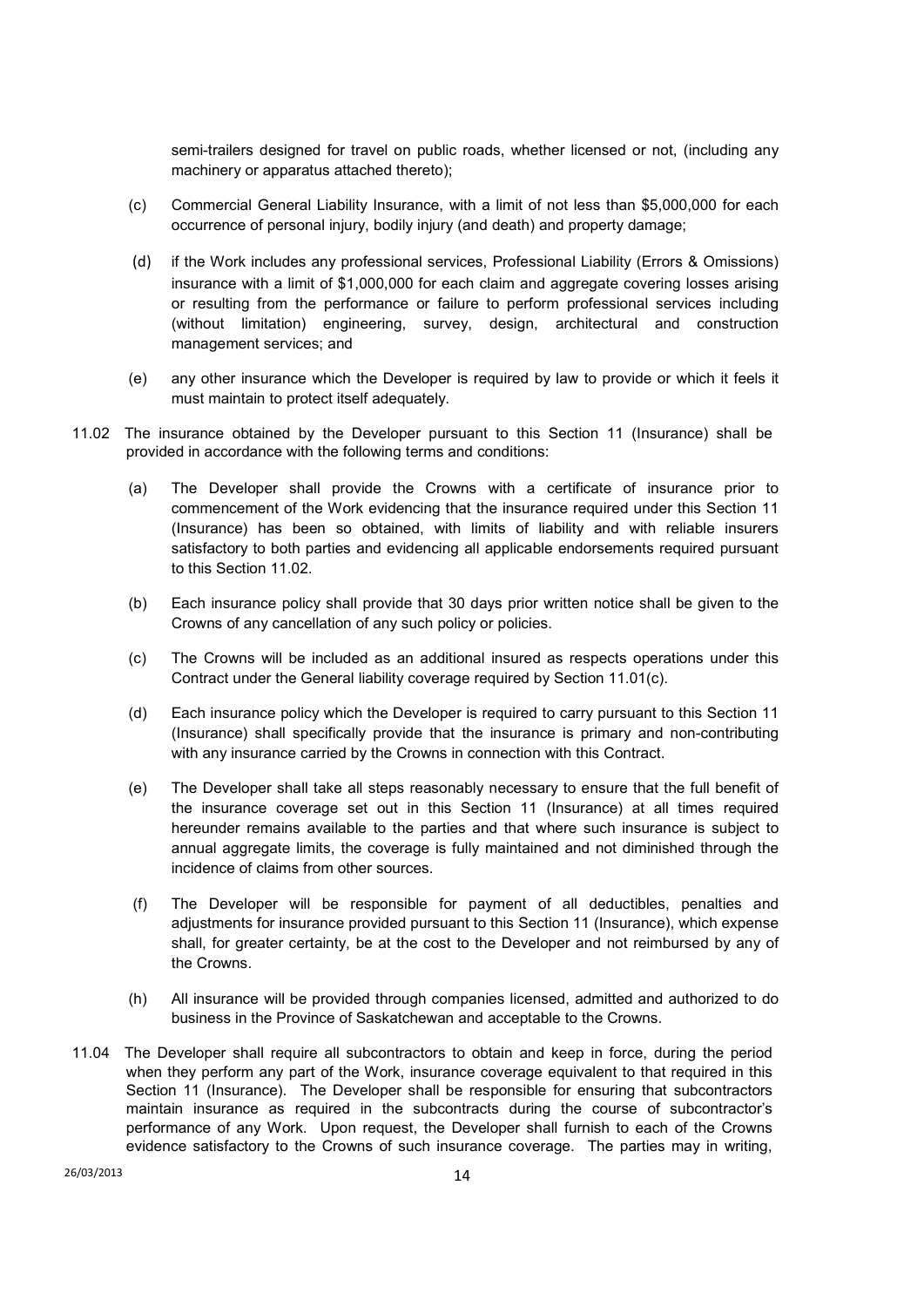semi-trailers designed for travel on public roads, whether licensed or not, (including any machinery or apparatus attached thereto);

- (c) Commercial General Liability Insurance, with a limit of not less than \$5,000,000 for each occurrence of personal injury, bodily injury (and death) and property damage;
- (d) if the Work includes any professional services, Professional Liability (Errors & Omissions) insurance with a limit of \$1,000,000 for each claim and aggregate covering losses arising or resulting from the performance or failure to perform professional services including (without limitation) engineering, survey, design, architectural and construction management services; and
- (e) any other insurance which the Developer is required by law to provide or which it feels it must maintain to protect itself adequately.
- 11.02 The insurance obtained by the Developer pursuant to this Section 11 (Insurance) shall be provided in accordance with the following terms and conditions:
	- (a) The Developer shall provide the Crowns with a certificate of insurance prior to commencement of the Work evidencing that the insurance required under this Section 11 (Insurance) has been so obtained, with limits of liability and with reliable insurers satisfactory to both parties and evidencing all applicable endorsements required pursuant to this Section 11.02.
	- (b) Each insurance policy shall provide that 30 days prior written notice shall be given to the Crowns of any cancellation of any such policy or policies.
	- (c) The Crowns will be included as an additional insured as respects operations under this Contract under the General liability coverage required by Section 11.01(c).
	- (d) Each insurance policy which the Developer is required to carry pursuant to this Section 11 (Insurance) shall specifically provide that the insurance is primary and non-contributing with any insurance carried by the Crowns in connection with this Contract.
	- (e) The Developer shall take all steps reasonably necessary to ensure that the full benefit of the insurance coverage set out in this Section 11 (Insurance) at all times required hereunder remains available to the parties and that where such insurance is subject to annual aggregate limits, the coverage is fully maintained and not diminished through the incidence of claims from other sources.
	- (f) The Developer will be responsible for payment of all deductibles, penalties and adjustments for insurance provided pursuant to this Section 11 (Insurance), which expense shall, for greater certainty, be at the cost to the Developer and not reimbursed by any of the Crowns.
	- (h) All insurance will be provided through companies licensed, admitted and authorized to do business in the Province of Saskatchewan and acceptable to the Crowns.
- 11.04 The Developer shall require all subcontractors to obtain and keep in force, during the period when they perform any part of the Work, insurance coverage equivalent to that required in this Section 11 (Insurance). The Developer shall be responsible for ensuring that subcontractors maintain insurance as required in the subcontracts during the course of subcontractor's performance of any Work. Upon request, the Developer shall furnish to each of the Crowns evidence satisfactory to the Crowns of such insurance coverage. The parties may in writing,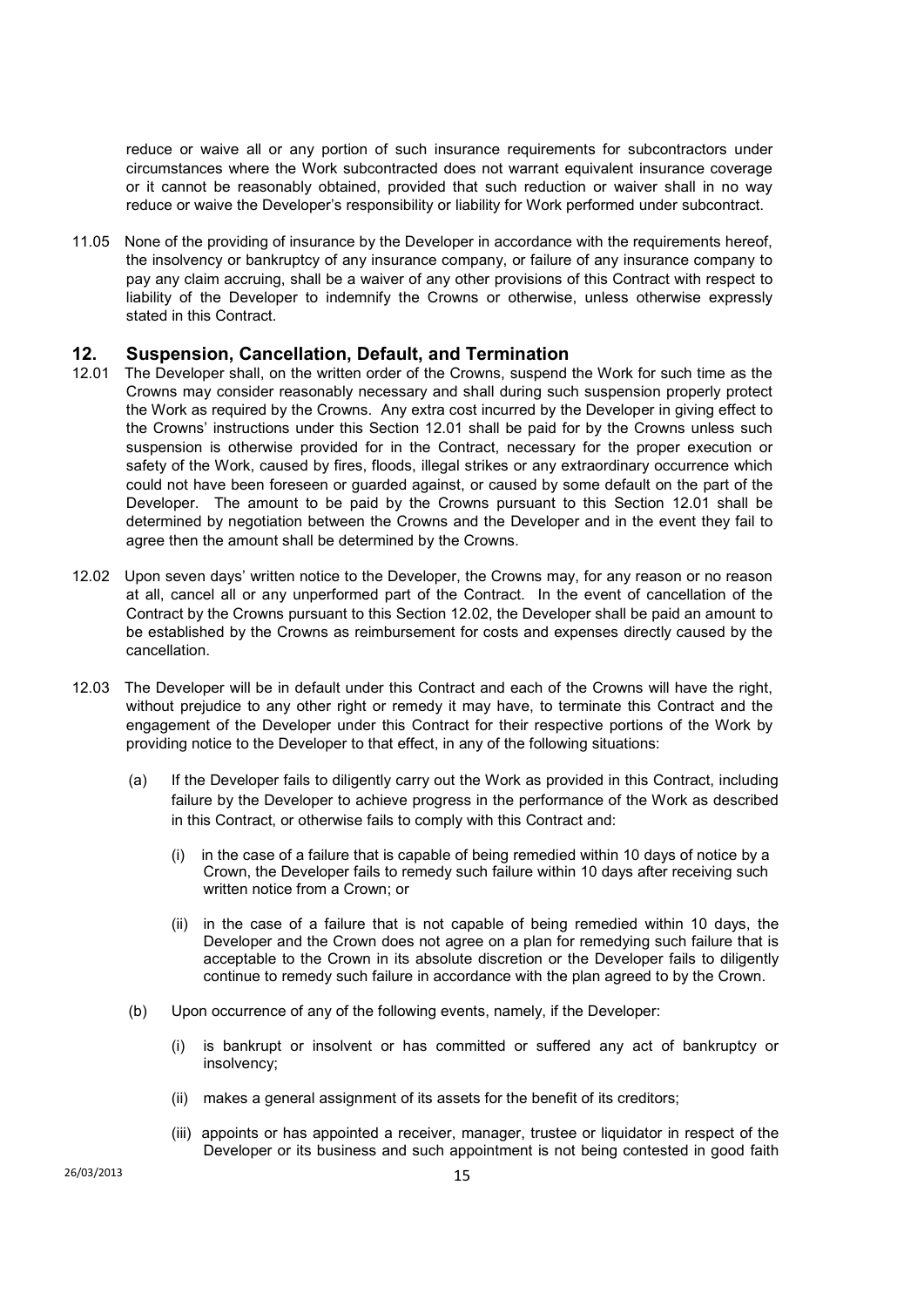reduce or waive all or any portion of such insurance requirements for subcontractors under circumstances where the Work subcontracted does not warrant equivalent insurance coverage or it cannot be reasonably obtained, provided that such reduction or waiver shall in no way reduce or waive the Developer's responsibility or liability for Work performed under subcontract.

11.05 None of the providing of insurance by the Developer in accordance with the requirements hereof, the insolvency or bankruptcy of any insurance company, or failure of any insurance company to pay any claim accruing, shall be a waiver of any other provisions of this Contract with respect to liability of the Developer to indemnify the Crowns or otherwise, unless otherwise expressly stated in this Contract.

#### **12. Suspension, Cancellation, Default, and Termination**

- 12.01 The Developer shall, on the written order of the Crowns, suspend the Work for such time as the Crowns may consider reasonably necessary and shall during such suspension properly protect the Work as required by the Crowns. Any extra cost incurred by the Developer in giving effect to the Crowns' instructions under this Section 12.01 shall be paid for by the Crowns unless such suspension is otherwise provided for in the Contract, necessary for the proper execution or safety of the Work, caused by fires, floods, illegal strikes or any extraordinary occurrence which could not have been foreseen or guarded against, or caused by some default on the part of the Developer. The amount to be paid by the Crowns pursuant to this Section 12.01 shall be determined by negotiation between the Crowns and the Developer and in the event they fail to agree then the amount shall be determined by the Crowns.
- 12.02 Upon seven days' written notice to the Developer, the Crowns may, for any reason or no reason at all, cancel all or any unperformed part of the Contract. In the event of cancellation of the Contract by the Crowns pursuant to this Section 12.02, the Developer shall be paid an amount to be established by the Crowns as reimbursement for costs and expenses directly caused by the cancellation.
- 12.03 The Developer will be in default under this Contract and each of the Crowns will have the right, without prejudice to any other right or remedy it may have, to terminate this Contract and the engagement of the Developer under this Contract for their respective portions of the Work by providing notice to the Developer to that effect, in any of the following situations:
	- (a) If the Developer fails to diligently carry out the Work as provided in this Contract, including failure by the Developer to achieve progress in the performance of the Work as described in this Contract, or otherwise fails to comply with this Contract and:
		- (i) in the case of a failure that is capable of being remedied within 10 days of notice by a Crown, the Developer fails to remedy such failure within 10 days after receiving such written notice from a Crown; or
		- (ii) in the case of a failure that is not capable of being remedied within 10 days, the Developer and the Crown does not agree on a plan for remedying such failure that is acceptable to the Crown in its absolute discretion or the Developer fails to diligently continue to remedy such failure in accordance with the plan agreed to by the Crown.
	- (b) Upon occurrence of any of the following events, namely, if the Developer:
		- (i) is bankrupt or insolvent or has committed or suffered any act of bankruptcy or insolvency;
		- (ii) makes a general assignment of its assets for the benefit of its creditors;
		- (iii) appoints or has appointed a receiver, manager, trustee or liquidator in respect of the Developer or its business and such appointment is not being contested in good faith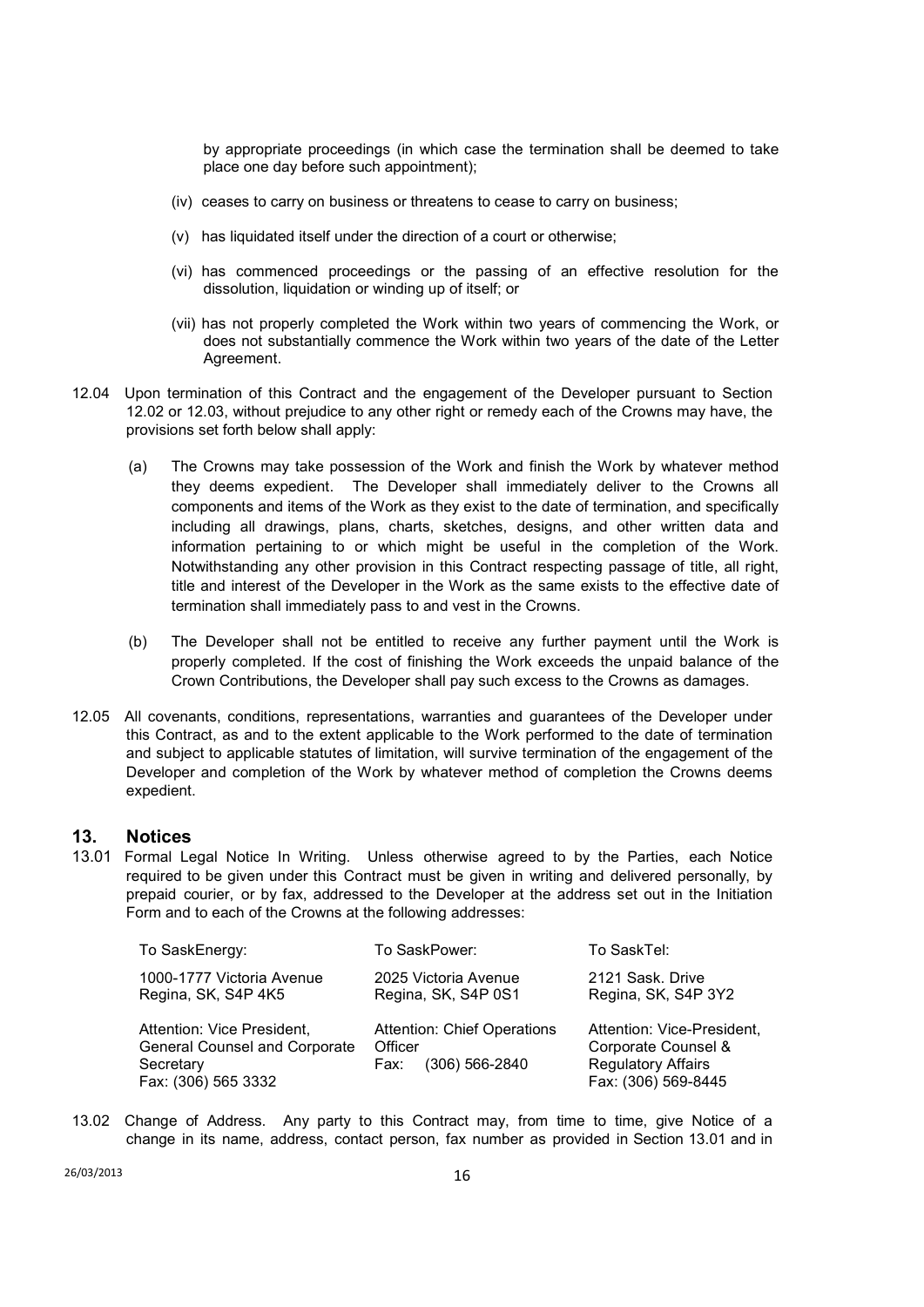by appropriate proceedings (in which case the termination shall be deemed to take place one day before such appointment);

- (iv) ceases to carry on business or threatens to cease to carry on business;
- (v) has liquidated itself under the direction of a court or otherwise;
- (vi) has commenced proceedings or the passing of an effective resolution for the dissolution, liquidation or winding up of itself; or
- (vii) has not properly completed the Work within two years of commencing the Work, or does not substantially commence the Work within two years of the date of the Letter Agreement.
- 12.04 Upon termination of this Contract and the engagement of the Developer pursuant to Section 12.02 or 12.03, without prejudice to any other right or remedy each of the Crowns may have, the provisions set forth below shall apply:
	- (a) The Crowns may take possession of the Work and finish the Work by whatever method they deems expedient. The Developer shall immediately deliver to the Crowns all components and items of the Work as they exist to the date of termination, and specifically including all drawings, plans, charts, sketches, designs, and other written data and information pertaining to or which might be useful in the completion of the Work. Notwithstanding any other provision in this Contract respecting passage of title, all right, title and interest of the Developer in the Work as the same exists to the effective date of termination shall immediately pass to and vest in the Crowns.
	- (b) The Developer shall not be entitled to receive any further payment until the Work is properly completed. If the cost of finishing the Work exceeds the unpaid balance of the Crown Contributions, the Developer shall pay such excess to the Crowns as damages.
- 12.05 All covenants, conditions, representations, warranties and guarantees of the Developer under this Contract, as and to the extent applicable to the Work performed to the date of termination and subject to applicable statutes of limitation, will survive termination of the engagement of the Developer and completion of the Work by whatever method of completion the Crowns deems expedient.

### **13. Notices**

13.01 Formal Legal Notice In Writing. Unless otherwise agreed to by the Parties, each Notice required to be given under this Contract must be given in writing and delivered personally, by prepaid courier, or by fax, addressed to the Developer at the address set out in the Initiation Form and to each of the Crowns at the following addresses:

| To SaskEnergy:                       | To SaskPower:                      | To SaskTel:                |
|--------------------------------------|------------------------------------|----------------------------|
| 1000-1777 Victoria Avenue            | 2025 Victoria Avenue               | 2121 Sask. Drive           |
| Regina, SK, S4P 4K5                  | Regina, SK, S4P 0S1                | Regina, SK, S4P 3Y2        |
| Attention: Vice President,           | <b>Attention: Chief Operations</b> | Attention: Vice-President, |
| <b>General Counsel and Corporate</b> | Officer                            | Corporate Counsel &        |
| Secretary                            | $(306) 566 - 2840$                 | <b>Regulatory Affairs</b>  |
| Fax: (306) 565 3332                  | Fax:                               | Fax: (306) 569-8445        |

13.02 Change of Address. Any party to this Contract may, from time to time, give Notice of a change in its name, address, contact person, fax number as provided in Section 13.01 and in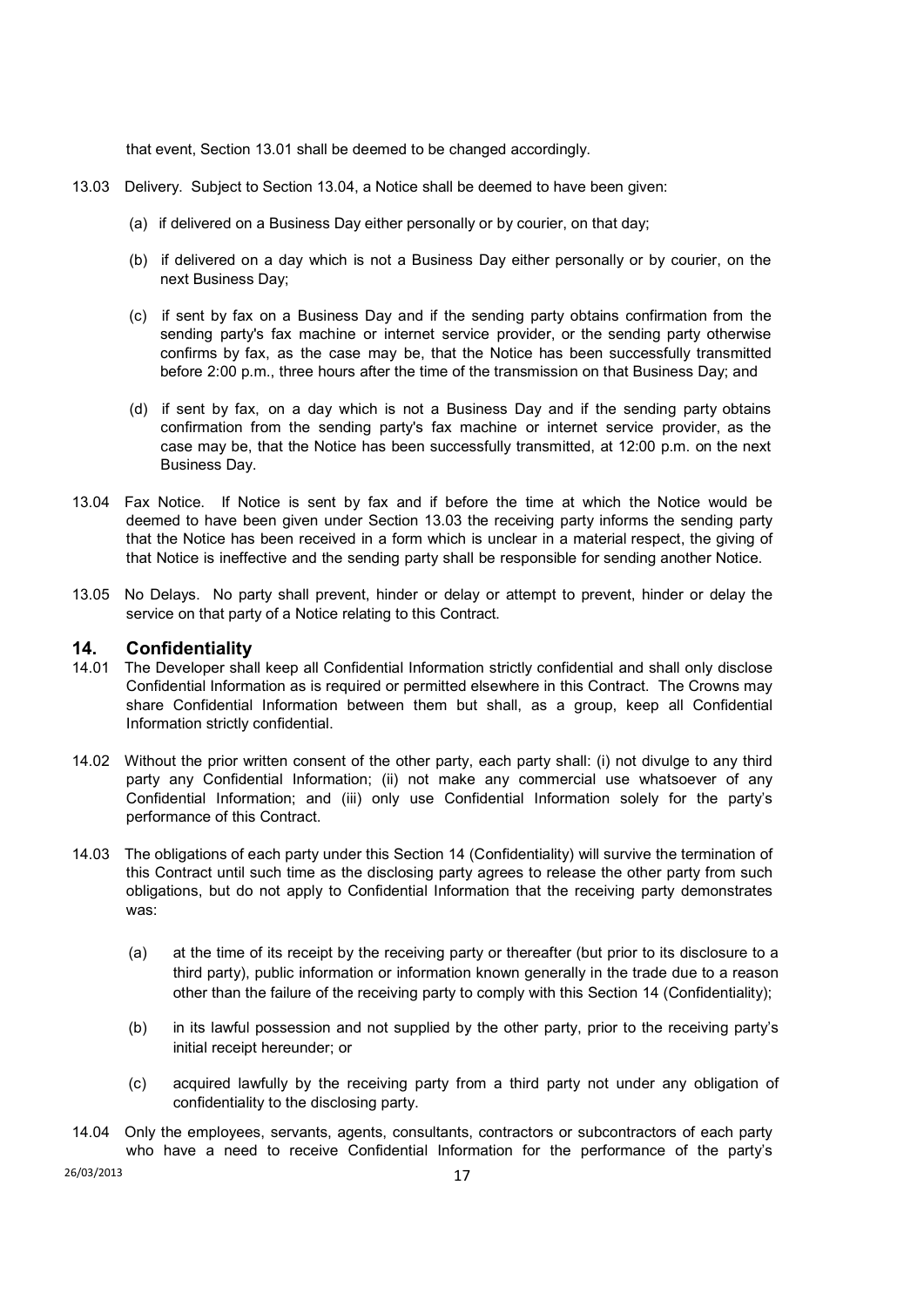that event, Section 13.01 shall be deemed to be changed accordingly.

- 13.03 Delivery. Subject to Section 13.04, a Notice shall be deemed to have been given:
	- (a) if delivered on a Business Day either personally or by courier, on that day;
	- (b) if delivered on a day which is not a Business Day either personally or by courier, on the next Business Day;
	- (c) if sent by fax on a Business Day and if the sending party obtains confirmation from the sending party's fax machine or internet service provider, or the sending party otherwise confirms by fax, as the case may be, that the Notice has been successfully transmitted before 2:00 p.m., three hours after the time of the transmission on that Business Day; and
	- (d) if sent by fax, on a day which is not a Business Day and if the sending party obtains confirmation from the sending party's fax machine or internet service provider, as the case may be, that the Notice has been successfully transmitted, at 12:00 p.m. on the next Business Day.
- 13.04 Fax Notice. If Notice is sent by fax and if before the time at which the Notice would be deemed to have been given under Section 13.03 the receiving party informs the sending party that the Notice has been received in a form which is unclear in a material respect, the giving of that Notice is ineffective and the sending party shall be responsible for sending another Notice.
- 13.05 No Delays. No party shall prevent, hinder or delay or attempt to prevent, hinder or delay the service on that party of a Notice relating to this Contract.

#### **14. Confidentiality**

- 14.01 The Developer shall keep all Confidential Information strictly confidential and shall only disclose Confidential Information as is required or permitted elsewhere in this Contract. The Crowns may share Confidential Information between them but shall, as a group, keep all Confidential Information strictly confidential.
- 14.02 Without the prior written consent of the other party, each party shall: (i) not divulge to any third party any Confidential Information; (ii) not make any commercial use whatsoever of any Confidential Information; and (iii) only use Confidential Information solely for the party's performance of this Contract.
- 14.03 The obligations of each party under this Section 14 (Confidentiality) will survive the termination of this Contract until such time as the disclosing party agrees to release the other party from such obligations, but do not apply to Confidential Information that the receiving party demonstrates was:
	- (a) at the time of its receipt by the receiving party or thereafter (but prior to its disclosure to a third party), public information or information known generally in the trade due to a reason other than the failure of the receiving party to comply with this Section 14 (Confidentiality);
	- (b) in its lawful possession and not supplied by the other party, prior to the receiving party's initial receipt hereunder; or
	- (c) acquired lawfully by the receiving party from a third party not under any obligation of confidentiality to the disclosing party.
- 14.04 Only the employees, servants, agents, consultants, contractors or subcontractors of each party who have a need to receive Confidential Information for the performance of the party's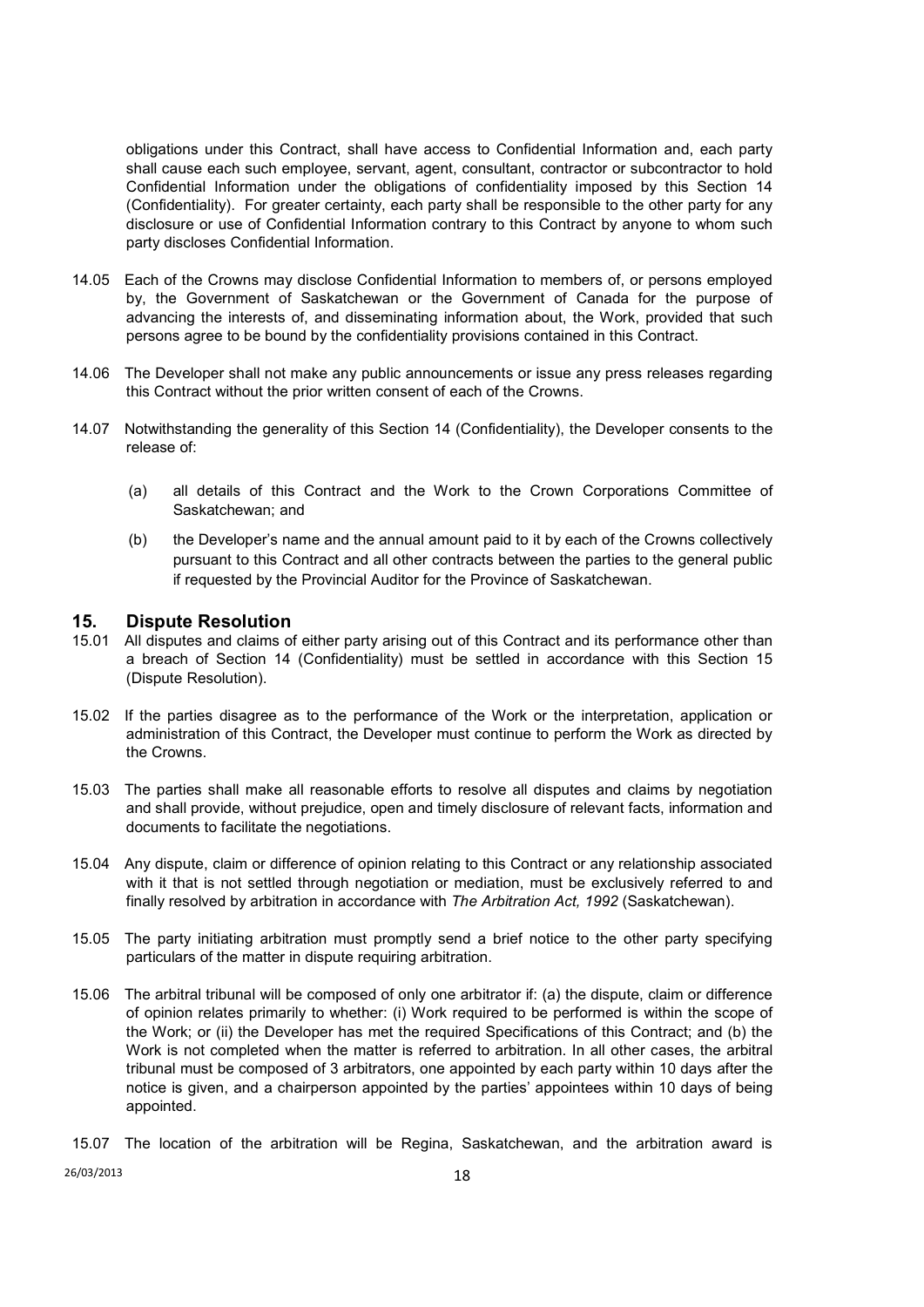obligations under this Contract, shall have access to Confidential Information and, each party shall cause each such employee, servant, agent, consultant, contractor or subcontractor to hold Confidential Information under the obligations of confidentiality imposed by this Section 14 (Confidentiality). For greater certainty, each party shall be responsible to the other party for any disclosure or use of Confidential Information contrary to this Contract by anyone to whom such party discloses Confidential Information.

- 14.05 Each of the Crowns may disclose Confidential Information to members of, or persons employed by, the Government of Saskatchewan or the Government of Canada for the purpose of advancing the interests of, and disseminating information about, the Work, provided that such persons agree to be bound by the confidentiality provisions contained in this Contract.
- 14.06 The Developer shall not make any public announcements or issue any press releases regarding this Contract without the prior written consent of each of the Crowns.
- 14.07 Notwithstanding the generality of this Section 14 (Confidentiality), the Developer consents to the release of:
	- (a) all details of this Contract and the Work to the Crown Corporations Committee of Saskatchewan; and
	- (b) the Developer's name and the annual amount paid to it by each of the Crowns collectively pursuant to this Contract and all other contracts between the parties to the general public if requested by the Provincial Auditor for the Province of Saskatchewan.

#### **15. Dispute Resolution**

- 15.01 All disputes and claims of either party arising out of this Contract and its performance other than a breach of Section 14 (Confidentiality) must be settled in accordance with this Section 15 (Dispute Resolution).
- 15.02 If the parties disagree as to the performance of the Work or the interpretation, application or administration of this Contract, the Developer must continue to perform the Work as directed by the Crowns.
- 15.03 The parties shall make all reasonable efforts to resolve all disputes and claims by negotiation and shall provide, without prejudice, open and timely disclosure of relevant facts, information and documents to facilitate the negotiations.
- 15.04 Any dispute, claim or difference of opinion relating to this Contract or any relationship associated with it that is not settled through negotiation or mediation, must be exclusively referred to and finally resolved by arbitration in accordance with *The Arbitration Act, 1992* (Saskatchewan).
- 15.05 The party initiating arbitration must promptly send a brief notice to the other party specifying particulars of the matter in dispute requiring arbitration.
- 15.06 The arbitral tribunal will be composed of only one arbitrator if: (a) the dispute, claim or difference of opinion relates primarily to whether: (i) Work required to be performed is within the scope of the Work; or (ii) the Developer has met the required Specifications of this Contract; and (b) the Work is not completed when the matter is referred to arbitration. In all other cases, the arbitral tribunal must be composed of 3 arbitrators, one appointed by each party within 10 days after the notice is given, and a chairperson appointed by the parties' appointees within 10 days of being appointed.

15.07 The location of the arbitration will be Regina, Saskatchewan, and the arbitration award is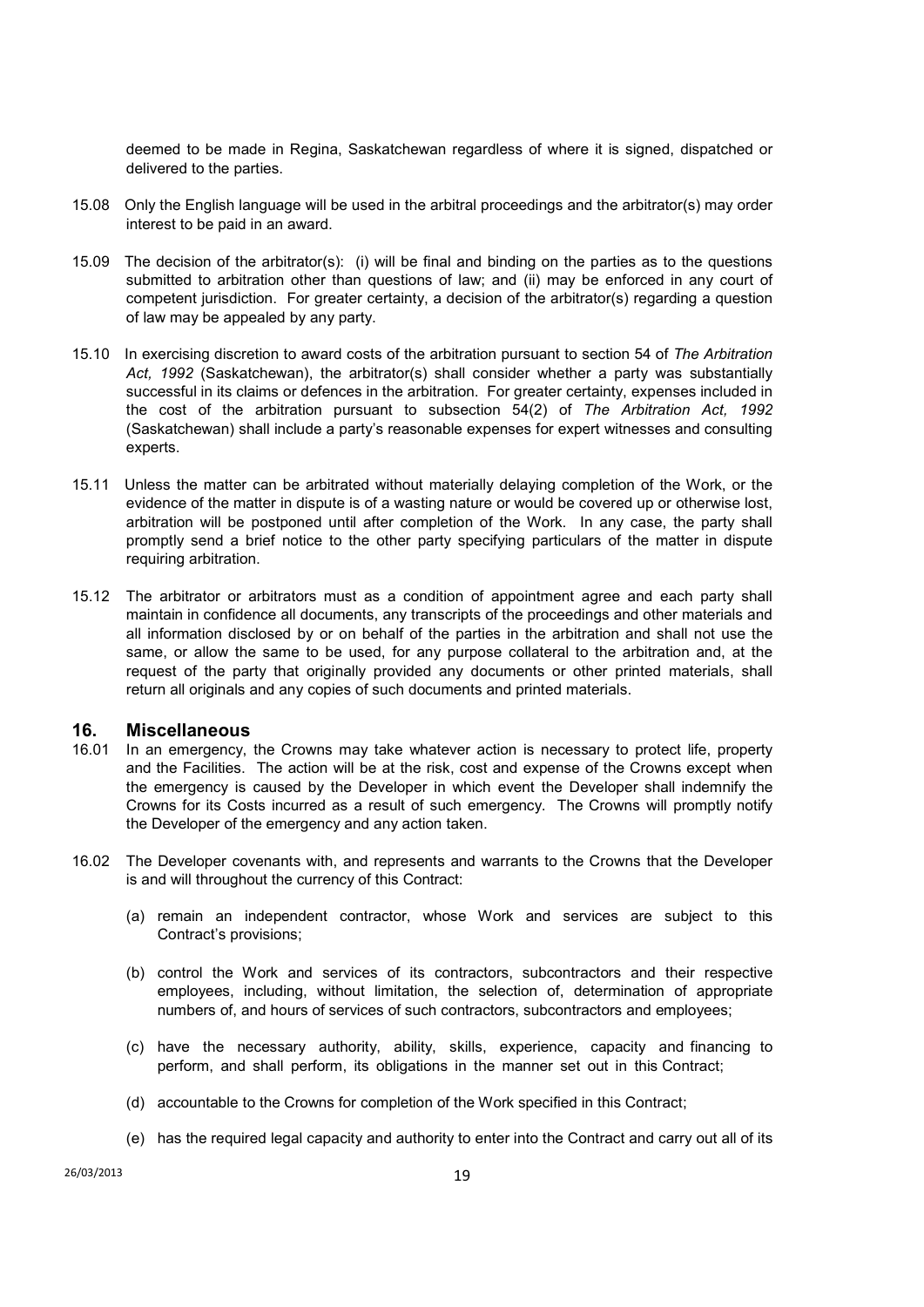deemed to be made in Regina, Saskatchewan regardless of where it is signed, dispatched or delivered to the parties.

- 15.08 Only the English language will be used in the arbitral proceedings and the arbitrator(s) may order interest to be paid in an award.
- 15.09 The decision of the arbitrator(s): (i) will be final and binding on the parties as to the questions submitted to arbitration other than questions of law; and (ii) may be enforced in any court of competent jurisdiction. For greater certainty, a decision of the arbitrator(s) regarding a question of law may be appealed by any party.
- 15.10 In exercising discretion to award costs of the arbitration pursuant to section 54 of *The Arbitration*  Act, 1992 (Saskatchewan), the arbitrator(s) shall consider whether a party was substantially successful in its claims or defences in the arbitration. For greater certainty, expenses included in the cost of the arbitration pursuant to subsection 54(2) of *The Arbitration Act, 1992* (Saskatchewan) shall include a party's reasonable expenses for expert witnesses and consulting experts.
- 15.11 Unless the matter can be arbitrated without materially delaying completion of the Work, or the evidence of the matter in dispute is of a wasting nature or would be covered up or otherwise lost, arbitration will be postponed until after completion of the Work. In any case, the party shall promptly send a brief notice to the other party specifying particulars of the matter in dispute requiring arbitration.
- 15.12 The arbitrator or arbitrators must as a condition of appointment agree and each party shall maintain in confidence all documents, any transcripts of the proceedings and other materials and all information disclosed by or on behalf of the parties in the arbitration and shall not use the same, or allow the same to be used, for any purpose collateral to the arbitration and, at the request of the party that originally provided any documents or other printed materials, shall return all originals and any copies of such documents and printed materials.

### **16. Miscellaneous**

- 16.01 In an emergency, the Crowns may take whatever action is necessary to protect life, property and the Facilities. The action will be at the risk, cost and expense of the Crowns except when the emergency is caused by the Developer in which event the Developer shall indemnify the Crowns for its Costs incurred as a result of such emergency. The Crowns will promptly notify the Developer of the emergency and any action taken.
- 16.02 The Developer covenants with, and represents and warrants to the Crowns that the Developer is and will throughout the currency of this Contract:
	- (a) remain an independent contractor, whose Work and services are subject to this Contract's provisions;
	- (b) control the Work and services of its contractors, subcontractors and their respective employees, including, without limitation, the selection of, determination of appropriate numbers of, and hours of services of such contractors, subcontractors and employees;
	- (c) have the necessary authority, ability, skills, experience, capacity and financing to perform, and shall perform, its obligations in the manner set out in this Contract;
	- (d) accountable to the Crowns for completion of the Work specified in this Contract;
	- (e) has the required legal capacity and authority to enter into the Contract and carry out all of its